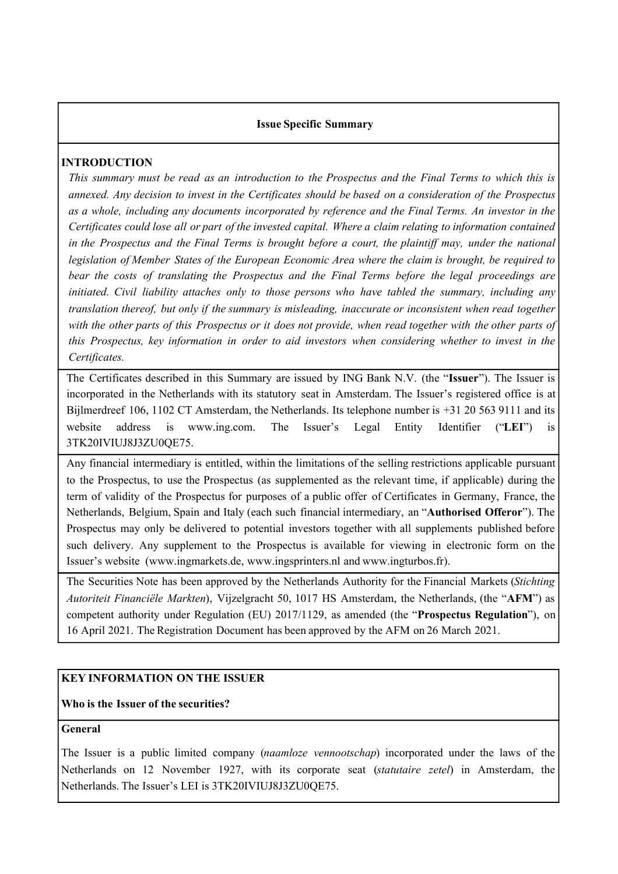#### **Issue Specific Summary**

# **INTRODUCTION**

This summary must be read as an introduction to the Prospectus and the Final Terms to which this is *annexed. Any decision to invest in the Certificates should be based on a consideration of the Prospectus as a whole, including any documents incorporated by reference and the Final Terms. An investor in the* Certificates could lose all or part of the invested capital. Where a claim relating to information contained in the Prospectus and the Final Terms is brought before a court, the plaintiff may, under the national *legislation of Member States of the European Economic Area where the claim is brought, be required to bear the costs of translating the Prospectus and the Final Terms before the legal proceedings are initiated. Civil liability attaches only to those persons who have tabled the summary, including any translation thereof, but only if the summary is misleading, inaccurate or inconsistent when read together* with the other parts of this Prospectus or it does not provide, when read together with the other parts of *this Prospectus, key information in order to aid investors when considering whether to invest in the Certificates.*

The Certificates described in this Summary are issued by ING Bank N.V. (the "**Issuer**"). The Issuer is incorporated in the Netherlands with its statutory seat in Amsterdam. The Issuer's registered office is at Bijlmerdreef 106, 1102 CT Amsterdam, the Netherlands. Its telephone number is +31 20 563 9111 and its website address is www.ing.com. The Issuer's Legal Entity Identifier ("**LEI**") is 3TK20IVIUJ8J3ZU0QE75.

Any financial intermediary is entitled, within the limitations of the selling restrictions applicable pursuant to the Prospectus, to use the Prospectus (as supplemented as the relevant time, if applicable) during the term of validity of the Prospectus for purposes of a public offer of Certificates in Germany, France, the Netherlands, Belgium, Spain and Italy (each such financial intermediary, an "**Authorised Offeror**"). The Prospectus may only be delivered to potential investors together with all supplements published before such delivery. Any supplement to the Prospectus is available for viewing in electronic form on the Issuer's website (www.ingmarkets.de, www.ingsprinters.nl and www.ingturbos.fr).

The Securities Note has been approved by the Netherlands Authority for the Financial Markets (*Stichting Autoriteit Financiële Markten*), Vijzelgracht 50, 1017 HS Amsterdam, the Netherlands, (the "**AFM**") as competent authority under Regulation (EU) 2017/1129, as amended (the "**Prospectus Regulation**"), on 16 April 2021. The Registration Document has been approved by the AFM on 26 March 2021.

# **KEY INFORMATION ON THE ISSUER**

# **Who is the Issuer of the securities?**

#### **General**

The Issuer is a public limited company (*naamloze vennootschap*) incorporated under the laws of the Netherlands on 12 November 1927, with its corporate seat (*statutaire zetel*) in Amsterdam, the Netherlands. The Issuer's LEI is 3TK20IVIUJ8J3ZU0QE75.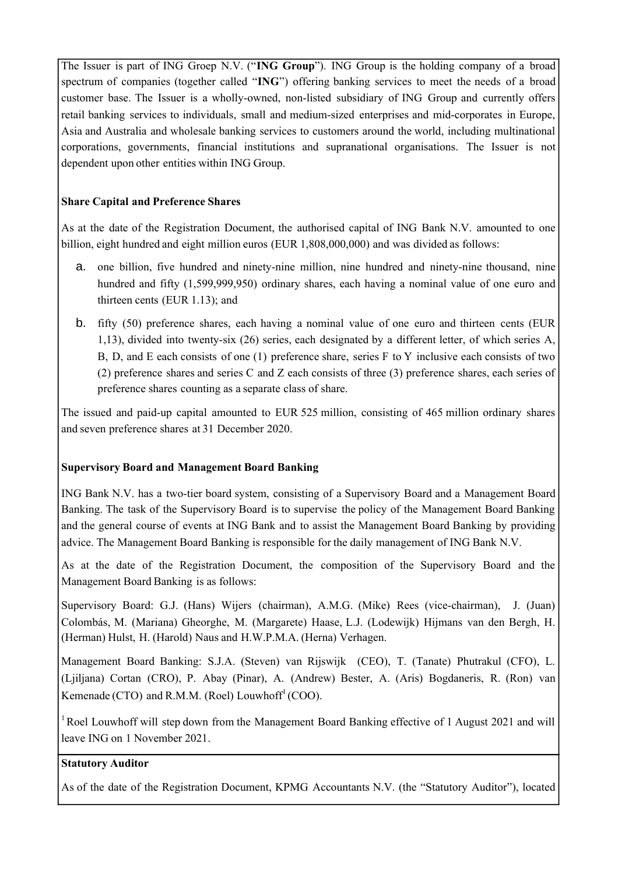The Issuer is part of ING Groep N.V. ("**ING Group**"). ING Group is the holding company of a broad spectrum of companies (together called "**ING**") offering banking services to meet the needs of a broad customer base. The Issuer is a wholly-owned, non-listed subsidiary of ING Group and currently offers retail banking services to individuals, small and medium-sized enterprises and mid-corporates in Europe, Asia and Australia and wholesale banking services to customers around the world, including multinational corporations, governments, financial institutions and supranational organisations. The Issuer is not dependent upon other entities within ING Group.

# **Share Capital and Preference Shares**

As at the date of the Registration Document, the authorised capital of ING Bank N.V. amounted to one billion, eight hundred and eight million euros (EUR 1,808,000,000) and was divided as follows:

- a. one billion, five hundred and ninety-nine million, nine hundred and ninety-nine thousand, nine hundred and fifty (1,599,999,950) ordinary shares, each having a nominal value of one euro and thirteen cents (EUR 1.13); and
- b. fifty (50) preference shares, each having a nominal value of one euro and thirteen cents (EUR 1,13), divided into twenty-six (26) series, each designated by a different letter, of which series A, B, D, and E each consists of one (1) preference share, series F to Y inclusive each consists of two (2) preference shares and series C and Z each consists of three (3) preference shares, each series of preference shares counting as a separate class of share.

The issued and paid-up capital amounted to EUR 525 million, consisting of 465 million ordinary shares and seven preference shares at 31 December 2020.

# **Supervisory Board and Management Board Banking**

ING Bank N.V. has a two-tier board system, consisting of a Supervisory Board and a Management Board Banking. The task of the Supervisory Board is to supervise the policy of the Management Board Banking and the general course of events at ING Bank and to assist the Management Board Banking by providing advice. The Management Board Banking is responsible for the daily management of ING Bank N.V.

As at the date of the Registration Document, the composition of the Supervisory Board and the Management Board Banking is as follows:

Supervisory Board: G.J. (Hans) Wijers (chairman), A.M.G. (Mike) Rees (vice-chairman), J. (Juan) Colombás, M. (Mariana) Gheorghe, M. (Margarete) Haase, L.J. (Lodewijk) Hijmans van den Bergh, H. (Herman) Hulst, H. (Harold) Naus and H.W.P.M.A. (Herna) Verhagen.

Management Board Banking: S.J.A. (Steven) van Rijswijk (CEO), T. (Tanate) Phutrakul (CFO), L. (Ljiljana) Cortan (CRO), P. Abay (Pinar), A. (Andrew) Bester, A. (Aris) Bogdaneris, R. (Ron) van Kemenade (CTO) and R.M.M. (Roel) Louwhoff<sup>1</sup> (COO).

<sup>1</sup> Roel Louwhoff will step down from the Management Board Banking effective of 1 August 2021 and will leave ING on 1 November 2021.

# **Statutory Auditor**

As of the date of the Registration Document, KPMG Accountants N.V. (the "Statutory Auditor"), located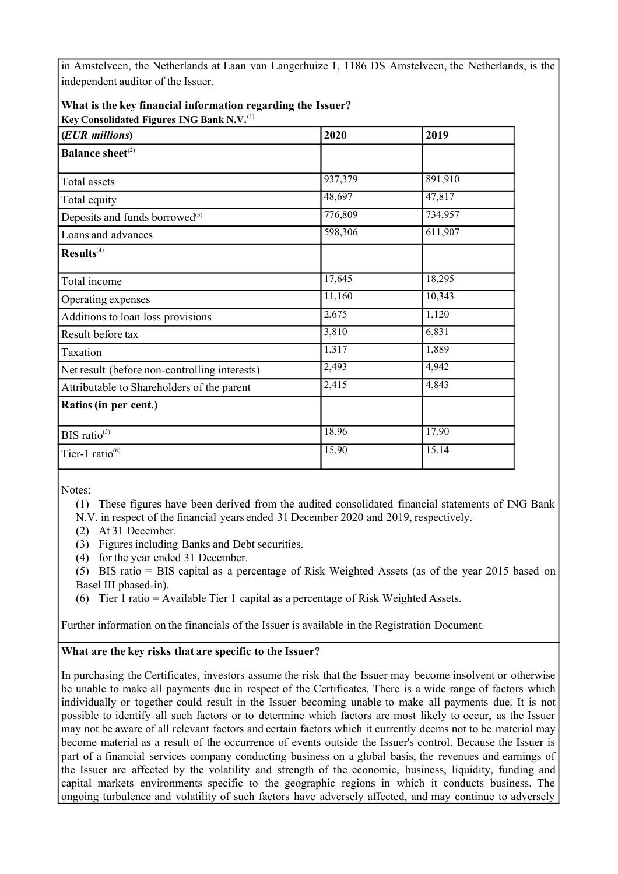in Amstelveen, the Netherlands at Laan van Langerhuize 1, 1186 DS Amstelveen, the Netherlands, is the independent auditor of the Issuer.

#### **What is the key financial information regarding the Issuer? Key Consolidated Figures ING Bank N.V.**(1)

| (EUR millions)                                | 2020    | 2019    |
|-----------------------------------------------|---------|---------|
| <b>Balance sheet</b> <sup>(2)</sup>           |         |         |
| Total assets                                  | 937,379 | 891,910 |
| Total equity                                  | 48,697  | 47,817  |
| Deposits and funds borrowed <sup>(3)</sup>    | 776,809 | 734,957 |
| Loans and advances                            | 598,306 | 611,907 |
| Results <sup>(4)</sup>                        |         |         |
| Total income                                  | 17,645  | 18,295  |
| Operating expenses                            | 11,160  | 10,343  |
| Additions to loan loss provisions             | 2,675   | 1,120   |
| Result before tax                             | 3,810   | 6,831   |
| Taxation                                      | 1,317   | 1,889   |
| Net result (before non-controlling interests) | 2,493   | 4,942   |
| Attributable to Shareholders of the parent    | 2,415   | 4,843   |
| Ratios (in per cent.)                         |         |         |
| BIS ratio $(5)$                               | 18.96   | 17.90   |
| Tier-1 ratio $^{(6)}$                         | 15.90   | 15.14   |

Notes:

(1) These figures have been derived from the audited consolidated financial statements of ING Bank

N.V. in respect of the financial years ended 31 December 2020 and 2019, respectively.

- (2) At 31 December.
- (3) Figuresincluding Banks and Debt securities.
- (4) for the year ended 31 December.

(5) BIS ratio = BIS capital as a percentage of Risk Weighted Assets (as of the year 2015 based on Basel III phased-in).

(6) Tier 1 ratio = Available Tier 1 capital as a percentage of Risk Weighted Assets.

Further information on the financials of the Issuer is available in the Registration Document.

# **What are the key risks that are specific to the Issuer?**

In purchasing the Certificates, investors assume the risk that the Issuer may become insolvent or otherwise be unable to make all payments due in respect of the Certificates. There is a wide range of factors which individually or together could result in the Issuer becoming unable to make all payments due. It is not possible to identify all such factors or to determine which factors are most likely to occur, as the Issuer may not be aware of all relevant factors and certain factors which it currently deems not to be material may become material as a result of the occurrence of events outside the Issuer's control. Because the Issuer is part of a financial services company conducting business on a global basis, the revenues and earnings of the Issuer are affected by the volatility and strength of the economic, business, liquidity, funding and capital markets environments specific to the geographic regions in which it conducts business. The ongoing turbulence and volatility of such factors have adversely affected, and may continue to adversely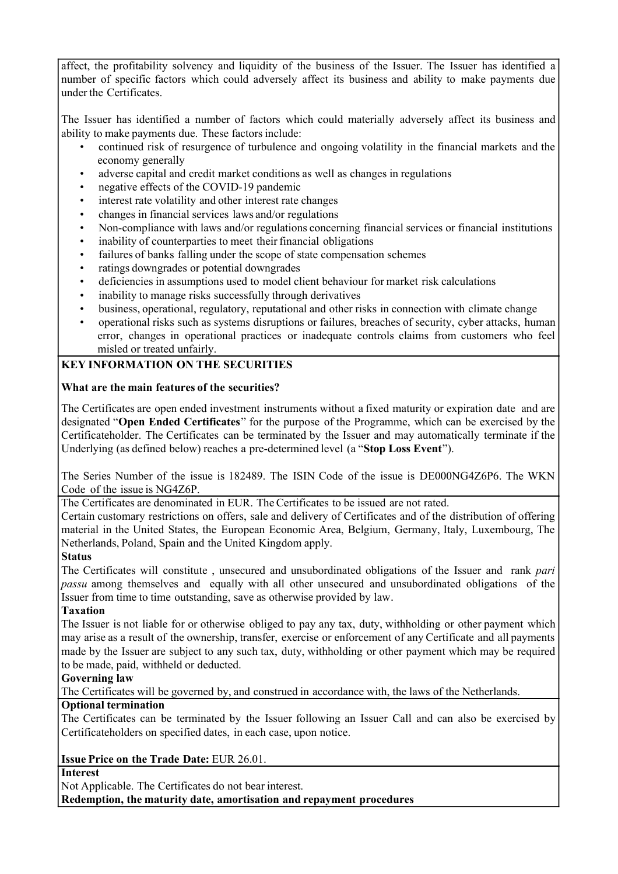affect, the profitability solvency and liquidity of the business of the Issuer. The Issuer has identified a number of specific factors which could adversely affect its business and ability to make payments due under the Certificates.

The Issuer has identified a number of factors which could materially adversely affect its business and ability to make payments due. These factors include:

- continued risk of resurgence of turbulence and ongoing volatility in the financial markets and the economy generally
- adverse capital and credit market conditions as well as changes in regulations
- negative effects of the COVID-19 pandemic
- interest rate volatility and other interest rate changes
- changes in financial services laws and/or regulations
- Non-compliance with laws and/or regulations concerning financial services or financial institutions
- inability of counterparties to meet their financial obligations
- failures of banks falling under the scope of state compensation schemes
- ratings downgrades or potential downgrades
- deficiencies in assumptions used to model client behaviour for market risk calculations
- inability to manage risks successfully through derivatives
- business, operational, regulatory, reputational and other risks in connection with climate change
- operational risks such as systems disruptions or failures, breaches of security, cyber attacks, human error, changes in operational practices or inadequate controls claims from customers who feel misled or treated unfairly.

# **KEY INFORMATION ON THE SECURITIES**

# **What are the main features of the securities?**

The Certificates are open ended investment instruments without a fixed maturity or expiration date and are designated "**Open Ended Certificates**" for the purpose of the Programme, which can be exercised by the Certificateholder. The Certificates can be terminated by the Issuer and may automatically terminate if the Underlying (as defined below) reaches a pre-determined level (a "**Stop Loss Event**").

The Series Number of the issue is 182489. The ISIN Code of the issue is DE000NG4Z6P6. The WKN Code of the issue is NG4Z6P.

The Certificates are denominated in EUR. The Certificates to be issued are not rated.

Certain customary restrictions on offers, sale and delivery of Certificates and of the distribution of offering material in the United States, the European Economic Area, Belgium, Germany, Italy, Luxembourg, The Netherlands, Poland, Spain and the United Kingdom apply.

# **Status**

The Certificates will constitute , unsecured and unsubordinated obligations of the Issuer and rank *pari passu* among themselves and equally with all other unsecured and unsubordinated obligations of the Issuer from time to time outstanding, save as otherwise provided by law.

# **Taxation**

The Issuer is not liable for or otherwise obliged to pay any tax, duty, withholding or other payment which may arise as a result of the ownership, transfer, exercise or enforcement of any Certificate and all payments made by the Issuer are subject to any such tax, duty, withholding or other payment which may be required to be made, paid, withheld or deducted.

# **Governing law**

The Certificates will be governed by, and construed in accordance with, the laws of the Netherlands.

# **Optional termination**

The Certificates can be terminated by the Issuer following an Issuer Call and can also be exercised by Certificateholders on specified dates, in each case, upon notice.

# **Issue Price on the Trade Date:** EUR 26.01.

**Interest**

Not Applicable. The Certificates do not bear interest. **Redemption, the maturity date, amortisation and repayment procedures**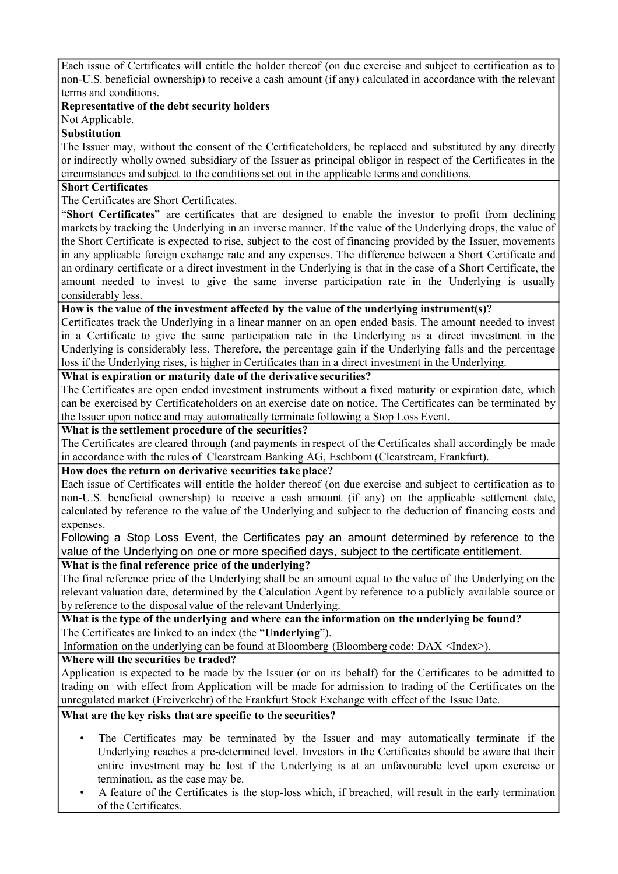Each issue of Certificates will entitle the holder thereof (on due exercise and subject to certification as to non-U.S. beneficial ownership) to receive a cash amount (if any) calculated in accordance with the relevant terms and conditions.

# **Representative of the debt security holders**

Not Applicable.

# **Substitution**

The Issuer may, without the consent of the Certificateholders, be replaced and substituted by any directly or indirectly wholly owned subsidiary of the Issuer as principal obligor in respect of the Certificates in the circumstances and subject to the conditions set out in the applicable terms and conditions.

# **Short Certificates**

The Certificates are Short Certificates.

"**Short Certificates**" are certificates that are designed to enable the investor to profit from declining markets by tracking the Underlying in an inverse manner. If the value of the Underlying drops, the value of the Short Certificate is expected to rise, subject to the cost of financing provided by the Issuer, movements in any applicable foreign exchange rate and any expenses. The difference between a Short Certificate and an ordinary certificate or a direct investment in the Underlying is that in the case of a Short Certificate, the amount needed to invest to give the same inverse participation rate in the Underlying is usually considerably less.

**How is the value of the investment affected by the value of the underlying instrument(s)?**

Certificates track the Underlying in a linear manner on an open ended basis. The amount needed to invest in a Certificate to give the same participation rate in the Underlying as a direct investment in the Underlying is considerably less. Therefore, the percentage gain if the Underlying falls and the percentage loss if the Underlying rises, is higher in Certificates than in a direct investment in the Underlying.

# **What is expiration or maturity date of the derivative securities?**

The Certificates are open ended investment instruments without a fixed maturity or expiration date, which can be exercised by Certificateholders on an exercise date on notice. The Certificates can be terminated by the Issuer upon notice and may automatically terminate following a Stop Loss Event.

# **What is the settlement procedure of the securities?**

The Certificates are cleared through (and payments in respect of the Certificates shall accordingly be made in accordance with the rules of Clearstream Banking AG, Eschborn (Clearstream, Frankfurt).

# **How does the return on derivative securities take place?**

Each issue of Certificates will entitle the holder thereof (on due exercise and subject to certification as to non-U.S. beneficial ownership) to receive a cash amount (if any) on the applicable settlement date, calculated by reference to the value of the Underlying and subject to the deduction of financing costs and expenses.

Following a Stop Loss Event, the Certificates pay an amount determined by reference to the value of the Underlying on one or more specified days, subject to the certificate entitlement.

# **What is the final reference price of the underlying?**

The final reference price of the Underlying shall be an amount equal to the value of the Underlying on the relevant valuation date, determined by the Calculation Agent by reference to a publicly available source or by reference to the disposal value of the relevant Underlying.

**What is the type of the underlying and where can the information on the underlying be found?** The Certificates are linked to an index (the "**Underlying**").

Information on the underlying can be found at Bloomberg (Bloomberg code: DAX <Index>).

# **Where will the securities be traded?**

Application is expected to be made by the Issuer (or on its behalf) for the Certificates to be admitted to trading on with effect from Application will be made for admission to trading of the Certificates on the unregulated market (Freiverkehr) of the Frankfurt Stock Exchange with effect of the Issue Date.

# **What are the key risks that are specific to the securities?**

- The Certificates may be terminated by the Issuer and may automatically terminate if the Underlying reaches a pre-determined level. Investors in the Certificates should be aware that their entire investment may be lost if the Underlying is at an unfavourable level upon exercise or termination, as the case may be.
- A feature of the Certificates is the stop-loss which, if breached, will result in the early termination of the Certificates.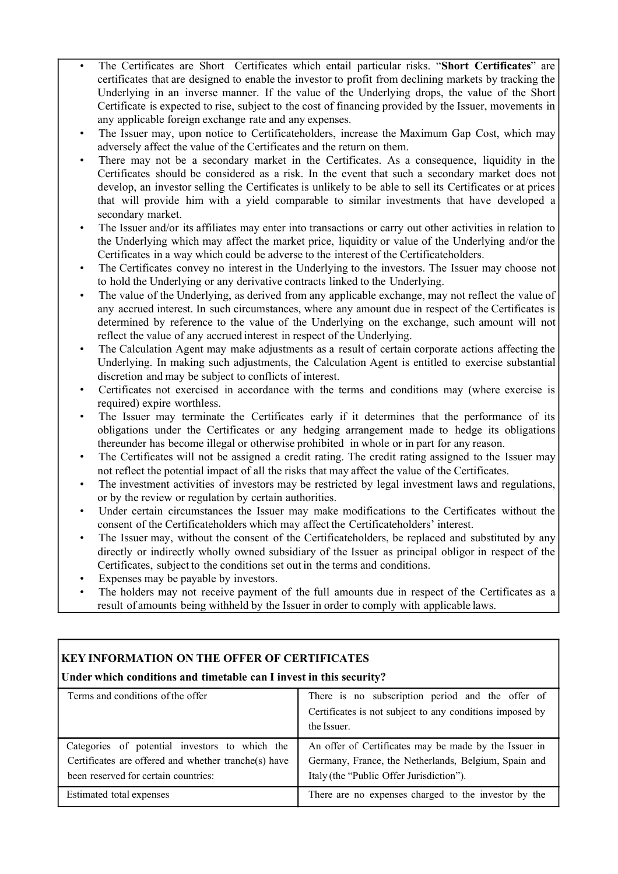- The Certificates are Short Certificates which entail particular risks. "**Short Certificates**" are certificates that are designed to enable the investor to profit from declining markets by tracking the Underlying in an inverse manner. If the value of the Underlying drops, the value of the Short Certificate is expected to rise, subject to the cost of financing provided by the Issuer, movements in any applicable foreign exchange rate and any expenses.
- The Issuer may, upon notice to Certificateholders, increase the Maximum Gap Cost, which may adversely affect the value of the Certificates and the return on them.
- There may not be a secondary market in the Certificates. As a consequence, liquidity in the Certificates should be considered as a risk. In the event that such a secondary market does not develop, an investor selling the Certificates is unlikely to be able to sell its Certificates or at prices that will provide him with a yield comparable to similar investments that have developed a secondary market.
- The Issuer and/or its affiliates may enter into transactions or carry out other activities in relation to the Underlying which may affect the market price, liquidity or value of the Underlying and/or the Certificates in a way which could be adverse to the interest of the Certificateholders.
- The Certificates convey no interest in the Underlying to the investors. The Issuer may choose not to hold the Underlying or any derivative contracts linked to the Underlying.
- The value of the Underlying, as derived from any applicable exchange, may not reflect the value of any accrued interest. In such circumstances, where any amount due in respect of the Certificates is determined by reference to the value of the Underlying on the exchange, such amount will not reflect the value of any accrued interest in respect of the Underlying.
- The Calculation Agent may make adjustments as a result of certain corporate actions affecting the Underlying. In making such adjustments, the Calculation Agent is entitled to exercise substantial discretion and may be subject to conflicts of interest.
- Certificates not exercised in accordance with the terms and conditions may (where exercise is required) expire worthless.
- The Issuer may terminate the Certificates early if it determines that the performance of its obligations under the Certificates or any hedging arrangement made to hedge its obligations thereunder has become illegal or otherwise prohibited in whole or in part for any reason.
- The Certificates will not be assigned a credit rating. The credit rating assigned to the Issuer may not reflect the potential impact of all the risks that may affect the value of the Certificates.
- The investment activities of investors may be restricted by legal investment laws and regulations, or by the review or regulation by certain authorities.
- Under certain circumstances the Issuer may make modifications to the Certificates without the consent of the Certificateholders which may affect the Certificateholders' interest.
- The Issuer may, without the consent of the Certificateholders, be replaced and substituted by any directly or indirectly wholly owned subsidiary of the Issuer as principal obligor in respect of the Certificates, subject to the conditions set out in the terms and conditions.
- Expenses may be payable by investors.
- The holders may not receive payment of the full amounts due in respect of the Certificates as a result of amounts being withheld by the Issuer in order to comply with applicable laws.

# **KEY INFORMATION ON THE OFFER OF CERTIFICATES**

# **Under which conditions and timetable can I invest in this security?**

| Terms and conditions of the offer                                                                                                              | There is no subscription period and the offer of<br>Certificates is not subject to any conditions imposed by<br>the Issuer.                               |
|------------------------------------------------------------------------------------------------------------------------------------------------|-----------------------------------------------------------------------------------------------------------------------------------------------------------|
| Categories of potential investors to which the<br>Certificates are offered and whether tranche(s) have<br>been reserved for certain countries: | An offer of Certificates may be made by the Issuer in<br>Germany, France, the Netherlands, Belgium, Spain and<br>Italy (the "Public Offer Jurisdiction"). |
| Estimated total expenses                                                                                                                       | There are no expenses charged to the investor by the                                                                                                      |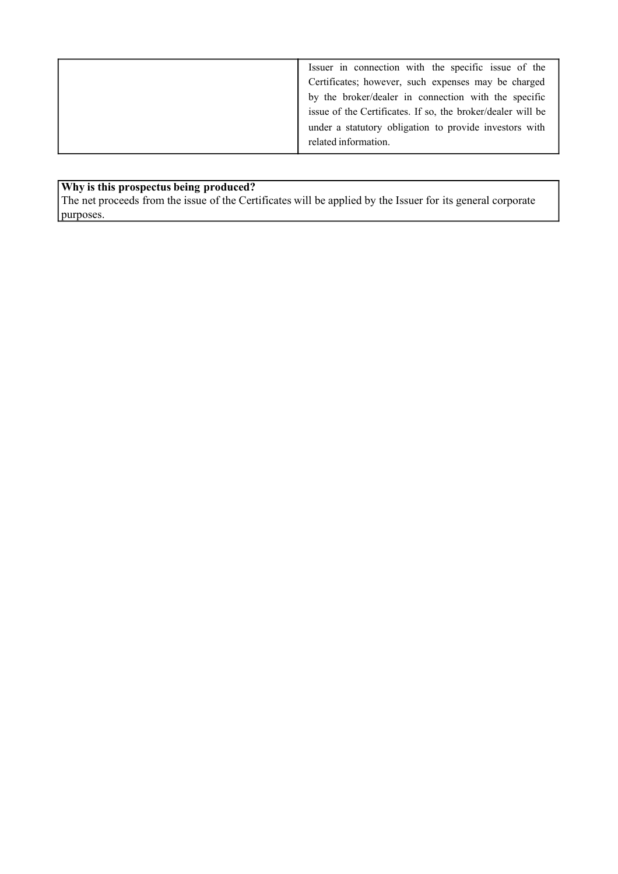# **Why is this prospectus being produced?**

The net proceeds from the issue of the Certificates will be applied by the Issuer for its general corporate purposes.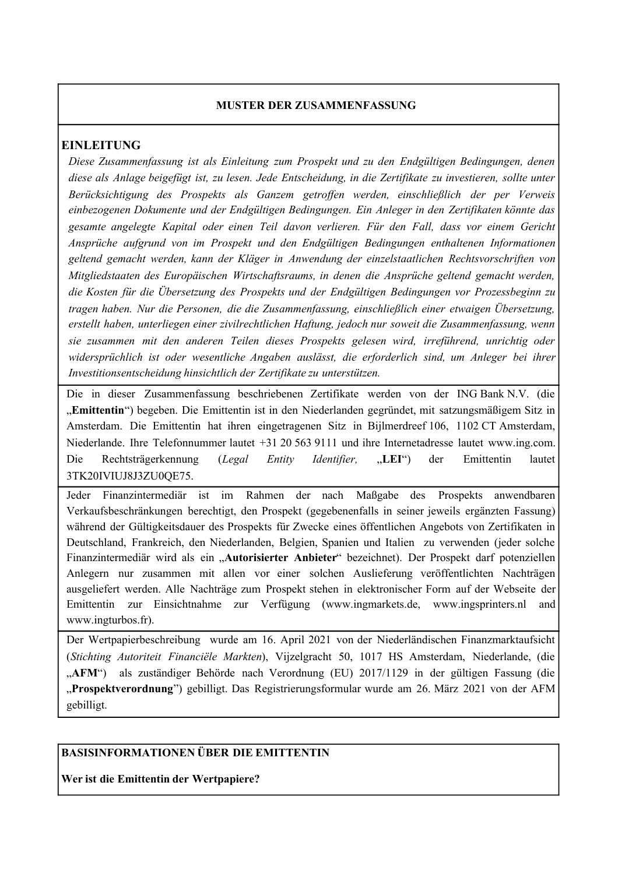#### **MUSTER DER ZUSAMMENFASSUNG**

# **EINLEITUNG**

*Diese Zusammenfassung ist als Einleitung zum Prospekt und zu den Endgültigen Bedingungen, denen diese als Anlage beigefügt ist, zu lesen. Jede Entscheidung, in die Zertifikate zu investieren, sollte unter Berücksichtigung des Prospekts als Ganzem getroffen werden, einschließlich der per Verweis einbezogenen Dokumente und der Endgültigen Bedingungen. Ein Anleger in den Zertifikaten könnte das gesamte angelegte Kapital oder einen Teil davon verlieren. Für den Fall, dass vor einem Gericht Ansprüche aufgrund von im Prospekt und den Endgültigen Bedingungen enthaltenen Informationen geltend gemacht werden, kann der Kläger in Anwendung der einzelstaatlichen Rechtsvorschriften von Mitgliedstaaten des Europäischen Wirtschaftsraums, in denen die Ansprüche geltend gemacht werden, die Kosten für die Übersetzung des Prospekts und der Endgültigen Bedingungen vor Prozessbeginn zu tragen haben. Nur die Personen, die die Zusammenfassung, einschließlich einer etwaigen Übersetzung, erstellt haben, unterliegen einer zivilrechtlichen Haftung, jedoch nur soweit die Zusammenfassung, wenn sie zusammen mit den anderen Teilen dieses Prospekts gelesen wird, irreführend, unrichtig oder widersprüchlich ist oder wesentliche Angaben auslässt, die erforderlich sind, um Anleger bei ihrer Investitionsentscheidung hinsichtlich der Zertifikate zu unterstützen.*

Die in dieser Zusammenfassung beschriebenen Zertifikate werden von der ING Bank N.V. (die "**Emittentin**") begeben. Die Emittentin ist in den Niederlanden gegründet, mit satzungsmäßigem Sitz in Amsterdam. Die Emittentin hat ihren eingetragenen Sitz in Bijlmerdreef 106, 1102 CT Amsterdam, Niederlande. Ihre Telefonnummer lautet +31 20 563 9111 und ihre Internetadresse lautet www.ing.com. Die Rechtsträgerkennung (*Legal Entity Identifier,* "**LEI**") der Emittentin lautet 3TK20IVIUJ8J3ZU0QE75.

Jeder Finanzintermediär ist im Rahmen der nach Maßgabe des Prospekts anwendbaren Verkaufsbeschränkungen berechtigt, den Prospekt (gegebenenfalls in seiner jeweils ergänzten Fassung) während der Gültigkeitsdauer des Prospekts für Zwecke eines öffentlichen Angebots von Zertifikaten in Deutschland, Frankreich, den Niederlanden, Belgien, Spanien und Italien zu verwenden (jeder solche Finanzintermediär wird als ein "Autorisierter Anbieter" bezeichnet). Der Prospekt darf potenziellen Anlegern nur zusammen mit allen vor einer solchen Auslieferung veröffentlichten Nachträgen ausgeliefert werden. Alle Nachträge zum Prospekt stehen in elektronischer Form auf der Webseite der Emittentin zur Einsichtnahme zur Verfügung (www.ingmarkets.de, www.ingsprinters.nl and www.ingturbos.fr).

Der Wertpapierbeschreibung wurde am 16. April 2021 von der Niederländischen Finanzmarktaufsicht (*Stichting Autoriteit Financiële Markten*), Vijzelgracht 50, 1017 HS Amsterdam, Niederlande, (die "AFM") als zuständiger Behörde nach Verordnung (EU) 2017/1129 in der gültigen Fassung (die "**Prospektverordnung**") gebilligt. Das Registrierungsformular wurde am 26. März 2021 von der AFM gebilligt.

# **BASISINFORMATIONEN ÜBER DIE EMITTENTIN**

**Wer ist die Emittentin der Wertpapiere?**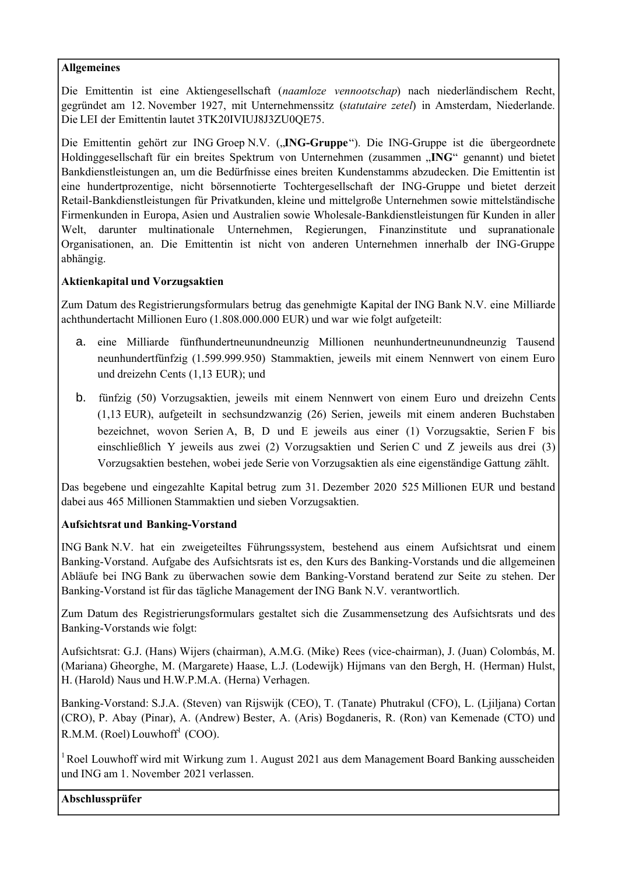# **Allgemeines**

Die Emittentin ist eine Aktiengesellschaft (*naamloze vennootschap*) nach niederländischem Recht, gegründet am 12. November 1927, mit Unternehmenssitz (*statutaire zetel*) in Amsterdam, Niederlande. Die LEI der Emittentin lautet 3TK20IVIUJ8J3ZU0QE75.

Die Emittentin gehört zur ING Groep N.V. (**"ING-Gruppe**"). Die ING-Gruppe ist die übergeordnete Holdinggesellschaft für ein breites Spektrum von Unternehmen (zusammen "**ING**" genannt) und bietet Bankdienstleistungen an, um die Bedürfnisse eines breiten Kundenstamms abzudecken. Die Emittentin ist eine hundertprozentige, nicht börsennotierte Tochtergesellschaft der ING-Gruppe und bietet derzeit Retail-Bankdienstleistungen für Privatkunden, kleine und mittelgroße Unternehmen sowie mittelständische Firmenkunden in Europa, Asien und Australien sowie Wholesale-Bankdienstleistungen für Kunden in aller Welt, darunter multinationale Unternehmen, Regierungen, Finanzinstitute und supranationale Organisationen, an. Die Emittentin ist nicht von anderen Unternehmen innerhalb der ING-Gruppe abhängig.

# **Aktienkapital und Vorzugsaktien**

Zum Datum des Registrierungsformulars betrug das genehmigte Kapital der ING Bank N.V. eine Milliarde achthundertacht Millionen Euro (1.808.000.000 EUR) und war wie folgt aufgeteilt:

- a. eine Milliarde fünfhundertneunundneunzig Millionen neunhundertneunundneunzig Tausend neunhundertfünfzig (1.599.999.950) Stammaktien, jeweils mit einem Nennwert von einem Euro und dreizehn Cents (1,13 EUR); und
- b. fünfzig (50) Vorzugsaktien, jeweils mit einem Nennwert von einem Euro und dreizehn Cents (1,13 EUR), aufgeteilt in sechsundzwanzig (26) Serien, jeweils mit einem anderen Buchstaben bezeichnet, wovon Serien A, B, D und E jeweils aus einer (1) Vorzugsaktie, Serien F bis einschließlich Y jeweils aus zwei (2) Vorzugsaktien und Serien C und Z jeweils aus drei (3) Vorzugsaktien bestehen, wobei jede Serie von Vorzugsaktien als eine eigenständige Gattung zählt.

Das begebene und eingezahlte Kapital betrug zum 31. Dezember 2020 525 Millionen EUR und bestand dabei aus 465 Millionen Stammaktien und sieben Vorzugsaktien.

# **Aufsichtsrat und Banking-Vorstand**

ING Bank N.V. hat ein zweigeteiltes Führungssystem, bestehend aus einem Aufsichtsrat und einem Banking-Vorstand. Aufgabe des Aufsichtsrats ist es, den Kurs des Banking-Vorstands und die allgemeinen Abläufe bei ING Bank zu überwachen sowie dem Banking-Vorstand beratend zur Seite zu stehen. Der Banking-Vorstand ist für das tägliche Management der ING Bank N.V. verantwortlich.

Zum Datum des Registrierungsformulars gestaltet sich die Zusammensetzung des Aufsichtsrats und des Banking-Vorstands wie folgt:

Aufsichtsrat: G.J. (Hans) Wijers (chairman), A.M.G. (Mike) Rees (vice-chairman), J. (Juan) Colombás, M. (Mariana) Gheorghe, M. (Margarete) Haase, L.J. (Lodewijk) Hijmans van den Bergh, H. (Herman) Hulst, H. (Harold) Naus und H.W.P.M.A. (Herna) Verhagen.

Banking-Vorstand: S.J.A. (Steven) van Rijswijk (CEO), T. (Tanate) Phutrakul (CFO), L. (Ljiljana) Cortan (CRO), P. Abay (Pinar), A. (Andrew) Bester, A. (Aris) Bogdaneris, R. (Ron) van Kemenade (CTO) und  $R.M.M.$  (Roel) Louwhoff<sup>1</sup> (COO).

 $1$ Roel Louwhoff wird mit Wirkung zum 1. August 2021 aus dem Management Board Banking ausscheiden und ING am 1. November 2021 verlassen.

**Abschlussprüfer**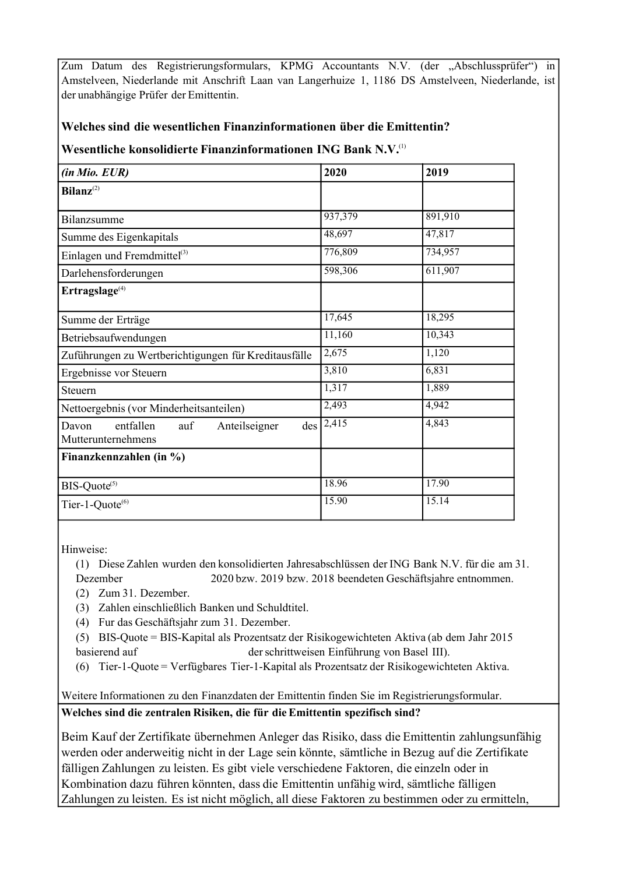Zum Datum des Registrierungsformulars, KPMG Accountants N.V. (der "Abschlussprüfer") in Amstelveen, Niederlande mit Anschrift Laan van Langerhuize 1, 1186 DS Amstelveen, Niederlande, ist der unabhängige Prüfer der Emittentin.

# **Welches sind die wesentlichen Finanzinformationen über die Emittentin?**

# **Wesentliche konsolidierte Finanzinformationen ING Bank N.V.**(1)

| (in Mio. EUR)                                                    | 2020                 | 2019    |
|------------------------------------------------------------------|----------------------|---------|
| $Bilanz^{(2)}$                                                   |                      |         |
| Bilanzsumme                                                      | 937,379              | 891,910 |
| Summe des Eigenkapitals                                          | 48,697               | 47,817  |
| Einlagen und Fremdmittel <sup>(3)</sup>                          | 776,809              | 734,957 |
| Darlehensforderungen                                             | 598,306              | 611,907 |
| Errragslage <sup>(4)</sup>                                       |                      |         |
| Summe der Erträge                                                | 17,645               | 18,295  |
| Betriebsaufwendungen                                             | 11,160               | 10,343  |
| Zuführungen zu Wertberichtigungen für Kreditausfälle             | 2,675                | 1,120   |
| Ergebnisse vor Steuern                                           | 3,810                | 6,831   |
| Steuern                                                          | 1,317                | 1,889   |
| Nettoergebnis (vor Minderheitsanteilen)                          | 2,493                | 4,942   |
| entfallen<br>auf<br>Anteilseigner<br>Davon<br>Mutterunternehmens | $des$ $\sqrt{2,415}$ | 4,843   |
| Finanzkennzahlen (in %)                                          |                      |         |
| BIS-Quote <sup>(5)</sup>                                         | 18.96                | 17.90   |
| Tier-1-Quote <sup>(6)</sup>                                      | $\overline{1}$ 5.90  | 15.14   |

Hinweise:

(1) Diese Zahlen wurden den konsolidierten Jahresabschlüssen der ING Bank N.V. für die am 31. Dezember 2020 bzw. 2019 bzw. 2018 beendeten Geschäftsjahre entnommen.

(2) Zum 31. Dezember.

(3) Zahlen einschließlich Banken und Schuldtitel.

(4) Fur das Geschäftsjahr zum 31. Dezember.

(5) BIS-Quote = BIS-Kapital als Prozentsatz der Risikogewichteten Aktiva (ab dem Jahr 2015 basierend auf derschrittweisen Einführung von Basel III).

(6) Tier-1-Quote = Verfügbares Tier-1-Kapital als Prozentsatz der Risikogewichteten Aktiva.

Weitere Informationen zu den Finanzdaten der Emittentin finden Sie im Registrierungsformular.

**Welches sind die zentralen Risiken, die für die Emittentin spezifisch sind?**

Beim Kauf der Zertifikate übernehmen Anleger das Risiko, dass die Emittentin zahlungsunfähig werden oder anderweitig nicht in der Lage sein könnte, sämtliche in Bezug auf die Zertifikate fälligen Zahlungen zu leisten. Es gibt viele verschiedene Faktoren, die einzeln oder in Kombination dazu führen könnten, dass die Emittentin unfähig wird, sämtliche fälligen Zahlungen zu leisten. Es ist nicht möglich, all diese Faktoren zu bestimmen oder zu ermitteln,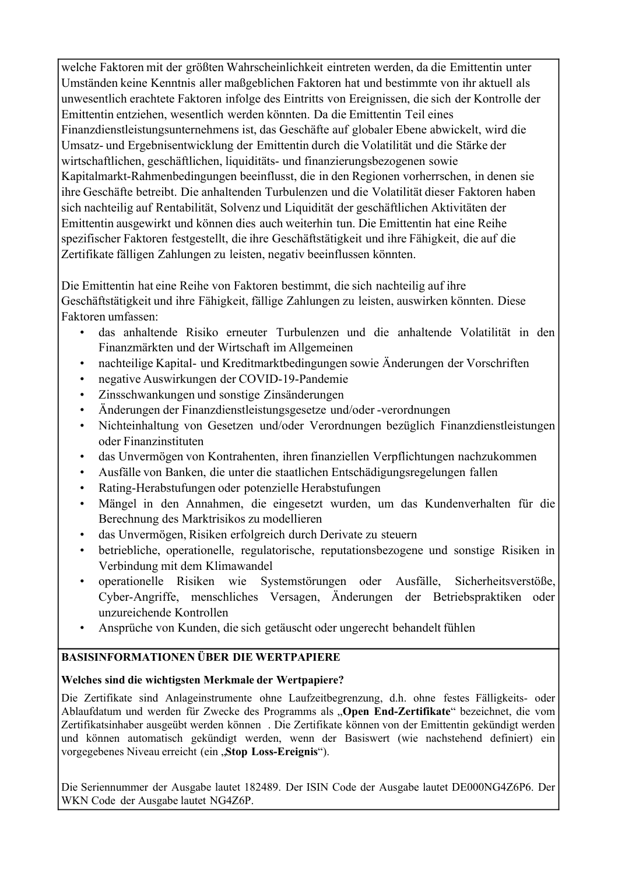welche Faktoren mit der größten Wahrscheinlichkeit eintreten werden, da die Emittentin unter Umständen keine Kenntnis aller maßgeblichen Faktoren hat und bestimmte von ihr aktuell als unwesentlich erachtete Faktoren infolge des Eintritts von Ereignissen, die sich der Kontrolle der Emittentin entziehen, wesentlich werden könnten. Da die Emittentin Teil eines Finanzdienstleistungsunternehmens ist, das Geschäfte auf globaler Ebene abwickelt, wird die Umsatz- und Ergebnisentwicklung der Emittentin durch die Volatilität und die Stärke der wirtschaftlichen, geschäftlichen, liquiditäts- und finanzierungsbezogenen sowie Kapitalmarkt-Rahmenbedingungen beeinflusst, die in den Regionen vorherrschen, in denen sie ihre Geschäfte betreibt. Die anhaltenden Turbulenzen und die Volatilität dieser Faktoren haben sich nachteilig auf Rentabilität, Solvenz und Liquidität der geschäftlichen Aktivitäten der Emittentin ausgewirkt und können dies auch weiterhin tun. Die Emittentin hat eine Reihe spezifischer Faktoren festgestellt, die ihre Geschäftstätigkeit und ihre Fähigkeit, die auf die Zertifikate fälligen Zahlungen zu leisten, negativ beeinflussen könnten.

Die Emittentin hat eine Reihe von Faktoren bestimmt, die sich nachteilig auf ihre Geschäftstätigkeit und ihre Fähigkeit, fällige Zahlungen zu leisten, auswirken könnten. Diese Faktoren umfassen:

- das anhaltende Risiko erneuter Turbulenzen und die anhaltende Volatilität in den Finanzmärkten und der Wirtschaft im Allgemeinen
- nachteilige Kapital- und Kreditmarktbedingungen sowie Änderungen der Vorschriften
- negative Auswirkungen der COVID-19-Pandemie
- Zinsschwankungen und sonstige Zinsänderungen
- Änderungen der Finanzdienstleistungsgesetze und/oder -verordnungen
- Nichteinhaltung von Gesetzen und/oder Verordnungen bezüglich Finanzdienstleistungen oder Finanzinstituten
- das Unvermögen von Kontrahenten, ihren finanziellen Verpflichtungen nachzukommen
- Ausfälle von Banken, die unter die staatlichen Entschädigungsregelungen fallen
- Rating-Herabstufungen oder potenzielle Herabstufungen
- Mängel in den Annahmen, die eingesetzt wurden, um das Kundenverhalten für die Berechnung des Marktrisikos zu modellieren
- das Unvermögen, Risiken erfolgreich durch Derivate zu steuern
- betriebliche, operationelle, regulatorische, reputationsbezogene und sonstige Risiken in Verbindung mit dem Klimawandel
- operationelle Risiken wie Systemstörungen oder Ausfälle, Sicherheitsverstöße, Cyber-Angriffe, menschliches Versagen, Änderungen der Betriebspraktiken oder unzureichende Kontrollen
- Ansprüche von Kunden, die sich getäuscht oder ungerecht behandelt fühlen

# **BASISINFORMATIONEN ÜBER DIE WERTPAPIERE**

# **Welches sind die wichtigsten Merkmale der Wertpapiere?**

Die Zertifikate sind Anlageinstrumente ohne Laufzeitbegrenzung, d.h. ohne festes Fälligkeits- oder Ablaufdatum und werden für Zwecke des Programms als "**Open End-Zertifikate**" bezeichnet, die vom Zertifikatsinhaber ausgeübt werden können . Die Zertifikate können von der Emittentin gekündigt werden und können automatisch gekündigt werden, wenn der Basiswert (wie nachstehend definiert) ein vorgegebenes Niveau erreicht (ein "**Stop Loss-Ereignis**").

Die Seriennummer der Ausgabe lautet 182489. Der ISIN Code der Ausgabe lautet DE000NG4Z6P6. Der WKN Code der Ausgabe lautet NG4Z6P.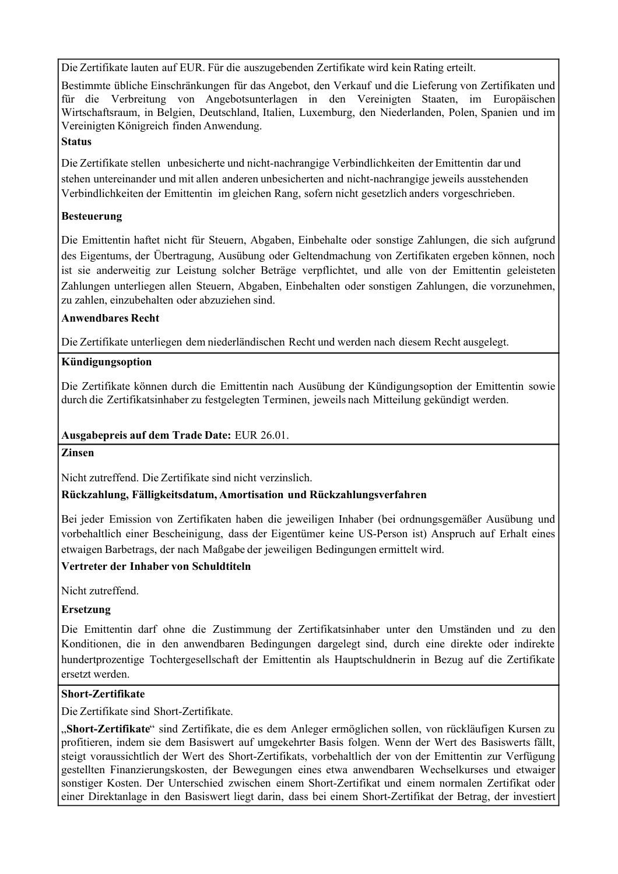Die Zertifikate lauten auf EUR. Für die auszugebenden Zertifikate wird kein Rating erteilt.

Bestimmte übliche Einschränkungen für das Angebot, den Verkauf und die Lieferung von Zertifikaten und für die Verbreitung von Angebotsunterlagen in den Vereinigten Staaten, im Europäischen Wirtschaftsraum, in Belgien, Deutschland, Italien, Luxemburg, den Niederlanden, Polen, Spanien und im Vereinigten Königreich finden Anwendung.

# **Status**

Die Zertifikate stellen unbesicherte und nicht-nachrangige Verbindlichkeiten der Emittentin dar und stehen untereinander und mit allen anderen unbesicherten and nicht-nachrangige jeweils ausstehenden Verbindlichkeiten der Emittentin im gleichen Rang, sofern nicht gesetzlich anders vorgeschrieben.

# **Besteuerung**

Die Emittentin haftet nicht für Steuern, Abgaben, Einbehalte oder sonstige Zahlungen, die sich aufgrund des Eigentums, der Übertragung, Ausübung oder Geltendmachung von Zertifikaten ergeben können, noch ist sie anderweitig zur Leistung solcher Beträge verpflichtet, und alle von der Emittentin geleisteten Zahlungen unterliegen allen Steuern, Abgaben, Einbehalten oder sonstigen Zahlungen, die vorzunehmen, zu zahlen, einzubehalten oder abzuziehen sind.

# **Anwendbares Recht**

Die Zertifikate unterliegen dem niederländischen Recht und werden nach diesem Recht ausgelegt.

# **Kündigungsoption**

Die Zertifikate können durch die Emittentin nach Ausübung der Kündigungsoption der Emittentin sowie durch die Zertifikatsinhaber zu festgelegten Terminen, jeweils nach Mitteilung gekündigt werden.

# **Ausgabepreis auf dem Trade Date:** EUR 26.01.

# **Zinsen**

Nicht zutreffend. Die Zertifikate sind nicht verzinslich.

# **Rückzahlung, Fälligkeitsdatum, Amortisation und Rückzahlungsverfahren**

Bei jeder Emission von Zertifikaten haben die jeweiligen Inhaber (bei ordnungsgemäßer Ausübung und vorbehaltlich einer Bescheinigung, dass der Eigentümer keine US-Person ist) Anspruch auf Erhalt eines etwaigen Barbetrags, der nach Maßgabe der jeweiligen Bedingungen ermittelt wird.

# **Vertreter der Inhaber von Schuldtiteln**

Nicht zutreffend.

# **Ersetzung**

Die Emittentin darf ohne die Zustimmung der Zertifikatsinhaber unter den Umständen und zu den Konditionen, die in den anwendbaren Bedingungen dargelegt sind, durch eine direkte oder indirekte hundertprozentige Tochtergesellschaft der Emittentin als Hauptschuldnerin in Bezug auf die Zertifikate ersetzt werden.

# **Short-Zertifikate**

Die Zertifikate sind Short-Zertifikate.

"Short-Zertifikate" sind Zertifikate, die es dem Anleger ermöglichen sollen, von rückläufigen Kursen zu profitieren, indem sie dem Basiswert auf umgekehrter Basis folgen. Wenn der Wert des Basiswerts fällt, steigt voraussichtlich der Wert des Short-Zertifikats, vorbehaltlich der von der Emittentin zur Verfügung gestellten Finanzierungskosten, der Bewegungen eines etwa anwendbaren Wechselkurses und etwaiger sonstiger Kosten. Der Unterschied zwischen einem Short-Zertifikat und einem normalen Zertifikat oder einer Direktanlage in den Basiswert liegt darin, dass bei einem Short-Zertifikat der Betrag, der investiert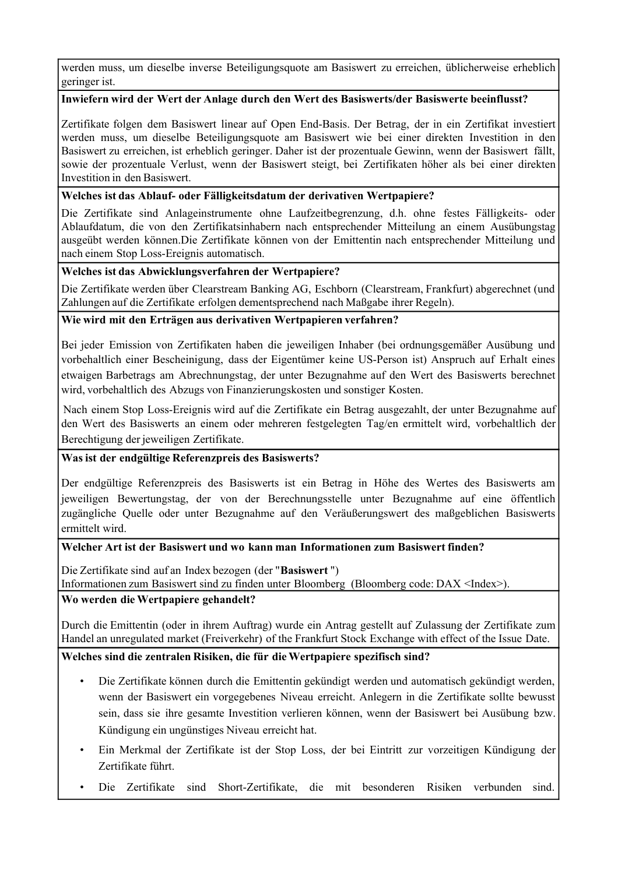werden muss, um dieselbe inverse Beteiligungsquote am Basiswert zu erreichen, üblicherweise erheblich geringer ist.

# **Inwiefern wird der Wert der Anlage durch den Wert des Basiswerts/der Basiswerte beeinflusst?**

Zertifikate folgen dem Basiswert linear auf Open End-Basis. Der Betrag, der in ein Zertifikat investiert werden muss, um dieselbe Beteiligungsquote am Basiswert wie bei einer direkten Investition in den Basiswert zu erreichen, ist erheblich geringer. Daher ist der prozentuale Gewinn, wenn der Basiswert fällt, sowie der prozentuale Verlust, wenn der Basiswert steigt, bei Zertifikaten höher als bei einer direkten Investition in den Basiswert.

# **Welches ist das Ablauf- oder Fälligkeitsdatum der derivativen Wertpapiere?**

Die Zertifikate sind Anlageinstrumente ohne Laufzeitbegrenzung, d.h. ohne festes Fälligkeits- oder Ablaufdatum, die von den Zertifikatsinhabern nach entsprechender Mitteilung an einem Ausübungstag ausgeübt werden können.Die Zertifikate können von der Emittentin nach entsprechender Mitteilung und nach einem Stop Loss-Ereignis automatisch.

# **Welches ist das Abwicklungsverfahren der Wertpapiere?**

Die Zertifikate werden über Clearstream Banking AG, Eschborn (Clearstream, Frankfurt) abgerechnet (und Zahlungen auf die Zertifikate erfolgen dementsprechend nach Maßgabe ihrer Regeln).

# **Wie wird mit den Erträgen aus derivativen Wertpapieren verfahren?**

Bei jeder Emission von Zertifikaten haben die jeweiligen Inhaber (bei ordnungsgemäßer Ausübung und vorbehaltlich einer Bescheinigung, dass der Eigentümer keine US-Person ist) Anspruch auf Erhalt eines etwaigen Barbetrags am Abrechnungstag, der unter Bezugnahme auf den Wert des Basiswerts berechnet wird, vorbehaltlich des Abzugs von Finanzierungskosten und sonstiger Kosten.

Nach einem Stop Loss-Ereignis wird auf die Zertifikate ein Betrag ausgezahlt, der unter Bezugnahme auf den Wert des Basiswerts an einem oder mehreren festgelegten Tag/en ermittelt wird, vorbehaltlich der Berechtigung der jeweiligen Zertifikate.

# **Was ist der endgültige Referenzpreis des Basiswerts?**

Der endgültige Referenzpreis des Basiswerts ist ein Betrag in Höhe des Wertes des Basiswerts am jeweiligen Bewertungstag, der von der Berechnungsstelle unter Bezugnahme auf eine öffentlich zugängliche Quelle oder unter Bezugnahme auf den Veräußerungswert des maßgeblichen Basiswerts ermittelt wird.

# **Welcher Art ist der Basiswert und wo kann man Informationen zum Basiswert finden?**

Die Zertifikate sind auf an Index bezogen (der "**Basiswert** ")

Informationen zum Basiswert sind zu finden unter Bloomberg (Bloomberg code: DAX <Index>).

# **Wo werden die Wertpapiere gehandelt?**

Durch die Emittentin (oder in ihrem Auftrag) wurde ein Antrag gestellt auf Zulassung der Zertifikate zum Handel an unregulated market (Freiverkehr) of the Frankfurt Stock Exchange with effect of the Issue Date.

# **Welches sind die zentralen Risiken, die für die Wertpapiere spezifisch sind?**

- Die Zertifikate können durch die Emittentin gekündigt werden und automatisch gekündigt werden, wenn der Basiswert ein vorgegebenes Niveau erreicht. Anlegern in die Zertifikate sollte bewusst sein, dass sie ihre gesamte Investition verlieren können, wenn der Basiswert bei Ausübung bzw. Kündigung ein ungünstiges Niveau erreicht hat.
- Ein Merkmal der Zertifikate ist der Stop Loss, der bei Eintritt zur vorzeitigen Kündigung der Zertifikate führt.
- Die Zertifikate sind Short-Zertifikate, die mit besonderen Risiken verbunden sind.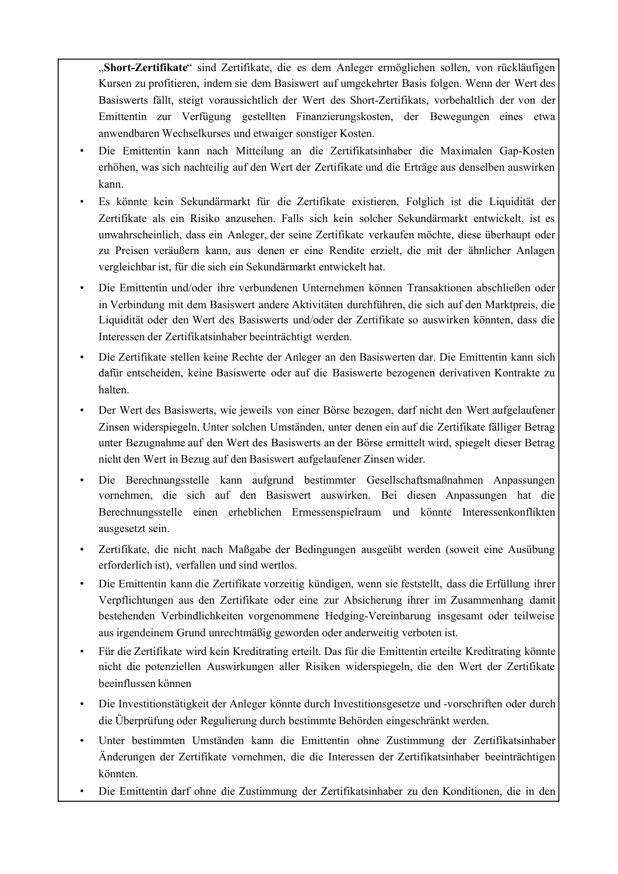"**Short-Zertifikate**" sind Zertifikate, die es dem Anleger ermöglichen sollen, von rückläufigen Kursen zu profitieren, indem sie dem Basiswert auf umgekehrter Basis folgen. Wenn der Wert des Basiswerts fällt, steigt voraussichtlich der Wert des Short-Zertifikats, vorbehaltlich der von der Emittentin zur Verfügung gestellten Finanzierungskosten, der Bewegungen eines etwa anwendbaren Wechselkurses und etwaiger sonstiger Kosten.

- Die Emittentin kann nach Mitteilung an die Zertifikatsinhaber die Maximalen Gap-Kosten erhöhen, was sich nachteilig auf den Wert der Zertifikate und die Erträge aus denselben auswirken kann.
- Es könnte kein Sekundärmarkt für die Zertifikate existieren. Folglich ist die Liquidität der Zertifikate als ein Risiko anzusehen. Falls sich kein solcher Sekundärmarkt entwickelt, ist es unwahrscheinlich, dass ein Anleger, der seine Zertifikate verkaufen möchte, diese überhaupt oder zu Preisen veräußern kann, aus denen er eine Rendite erzielt, die mit der ähnlicher Anlagen vergleichbar ist, für die sich ein Sekundärmarkt entwickelt hat.
- Die Emittentin und/oder ihre verbundenen Unternehmen können Transaktionen abschließen oder in Verbindung mit dem Basiswert andere Aktivitäten durchführen, die sich auf den Marktpreis, die Liquidität oder den Wert des Basiswerts und/oder der Zertifikate so auswirken könnten, dass die Interessen der Zertifikatsinhaber beeinträchtigt werden.
- Die Zertifikate stellen keine Rechte der Anleger an den Basiswerten dar. Die Emittentin kann sich dafür entscheiden, keine Basiswerte oder auf die Basiswerte bezogenen derivativen Kontrakte zu halten.
- Der Wert des Basiswerts, wie jeweils von einer Börse bezogen, darf nicht den Wert aufgelaufener Zinsen widerspiegeln. Unter solchen Umständen, unter denen ein auf die Zertifikate fälliger Betrag unter Bezugnahme auf den Wert des Basiswerts an der Börse ermittelt wird, spiegelt dieser Betrag nicht den Wert in Bezug auf den Basiswert aufgelaufener Zinsen wider.
- Die Berechnungsstelle kann aufgrund bestimmter Gesellschaftsmaßnahmen Anpassungen vornehmen, die sich auf den Basiswert auswirken. Bei diesen Anpassungen hat die Berechnungsstelle einen erheblichen Ermessenspielraum und könnte Interessenkonflikten ausgesetzt sein.
- Zertifikate, die nicht nach Maßgabe der Bedingungen ausgeübt werden (soweit eine Ausübung erforderlich ist), verfallen und sind wertlos.
- Die Emittentin kann die Zertifikate vorzeitig kündigen, wenn sie feststellt, dass die Erfüllung ihrer Verpflichtungen aus den Zertifikate oder eine zur Absicherung ihrer im Zusammenhang damit bestehenden Verbindlichkeiten vorgenommene Hedging-Vereinbarung insgesamt oder teilweise aus irgendeinem Grund unrechtmäßig geworden oder anderweitig verboten ist.
- Für die Zertifikate wird kein Kreditrating erteilt. Das für die Emittentin erteilte Kreditrating könnte nicht die potenziellen Auswirkungen aller Risiken widerspiegeln, die den Wert der Zertifikate beeinflussen können
- Die Investitionstätigkeit der Anleger könnte durch Investitionsgesetze und -vorschriften oder durch die Überprüfung oder Regulierung durch bestimmte Behörden eingeschränkt werden.
- Unter bestimmten Umständen kann die Emittentin ohne Zustimmung der Zertifikatsinhaber Änderungen der Zertifikate vornehmen, die die Interessen der Zertifikatsinhaber beeinträchtigen könnten.
- Die Emittentin darf ohne die Zustimmung der Zertifikatsinhaber zu den Konditionen, die in den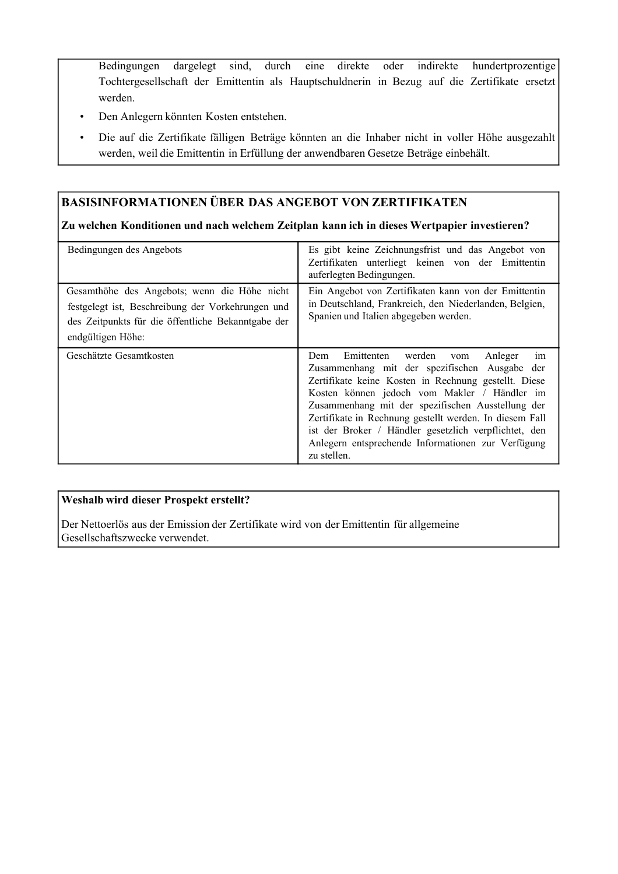Bedingungen dargelegt sind, durch eine direkte oder indirekte hundertprozentige Tochtergesellschaft der Emittentin als Hauptschuldnerin in Bezug auf die Zertifikate ersetzt werden.

- Den Anlegern könnten Kosten entstehen.
- Die auf die Zertifikate fälligen Beträge könnten an die Inhaber nicht in voller Höhe ausgezahlt werden, weil die Emittentin in Erfüllung der anwendbaren Gesetze Beträge einbehält.

# **BASISINFORMATIONEN ÜBER DAS ANGEBOT VON ZERTIFIKATEN**

# **Zu welchen Konditionen und nach welchem Zeitplan kann ich in dieses Wertpapier investieren?**

| Bedingungen des Angebots                                                                                                                                                     | Es gibt keine Zeichnungsfrist und das Angebot von<br>Zertifikaten unterliegt keinen von der Emittentin<br>auferlegten Bedingungen.                                                                                                                                                                                                                                                                                                                         |
|------------------------------------------------------------------------------------------------------------------------------------------------------------------------------|------------------------------------------------------------------------------------------------------------------------------------------------------------------------------------------------------------------------------------------------------------------------------------------------------------------------------------------------------------------------------------------------------------------------------------------------------------|
| Gesamthöhe des Angebots; wenn die Höhe nicht<br>festgelegt ist, Beschreibung der Vorkehrungen und<br>des Zeitpunkts für die öffentliche Bekanntgabe der<br>endgültigen Höhe: | Ein Angebot von Zertifikaten kann von der Emittentin<br>in Deutschland, Frankreich, den Niederlanden, Belgien,<br>Spanien und Italien abgegeben werden.                                                                                                                                                                                                                                                                                                    |
| Geschätzte Gesamtkosten                                                                                                                                                      | Emittenten<br>werden<br>Anleger<br>Dem<br>im<br>vom<br>Zusammenhang mit der spezifischen Ausgabe der<br>Zertifikate keine Kosten in Rechnung gestellt. Diese<br>Kosten können jedoch vom Makler / Händler im<br>Zusammenhang mit der spezifischen Ausstellung der<br>Zertifikate in Rechnung gestellt werden. In diesem Fall<br>ist der Broker / Händler gesetzlich verpflichtet, den<br>Anlegern entsprechende Informationen zur Verfügung<br>zu stellen. |

# **Weshalb wird dieser Prospekt erstellt?**

Der Nettoerlös aus der Emission der Zertifikate wird von der Emittentin für allgemeine Gesellschaftszwecke verwendet.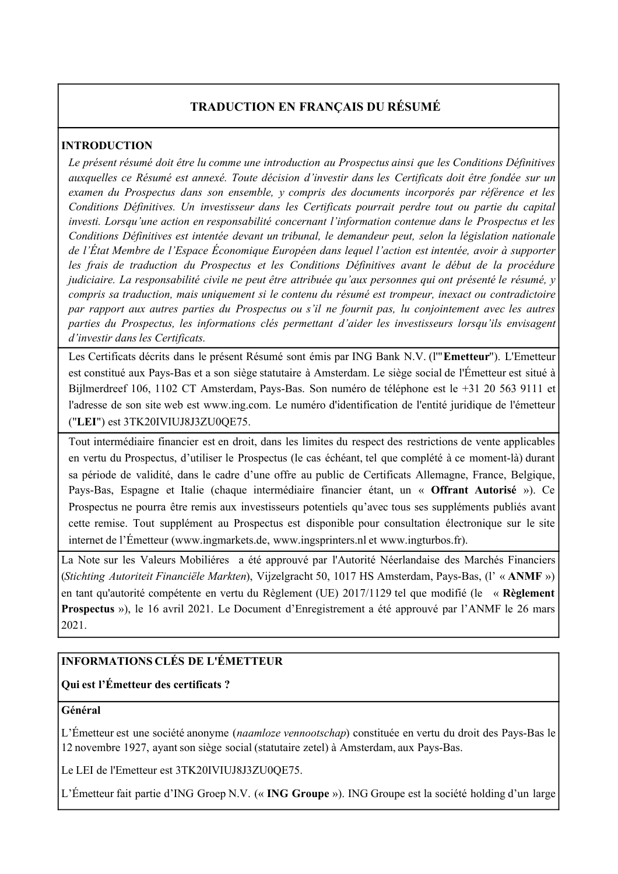# **TRADUCTION EN FRANÇAIS DU RÉSUMÉ**

# **INTRODUCTION**

*Le présent résumé doit être lu comme une introduction au Prospectus ainsi que les Conditions Définitives auxquelles ce Résumé est annexé. Toute décision d'investir dans les Certificats doit être fondée sur un examen du Prospectus dans son ensemble, y compris des documents incorporés par référence et les Conditions Définitives. Un investisseur dans les Certificats pourrait perdre tout ou partie du capital investi. Lorsqu'une action en responsabilité concernant l'information contenue dans le Prospectus et les Conditions Définitives est intentée devant un tribunal, le demandeur peut, selon la législation nationale de l'État Membre de l'Espace Économique Européen dans lequel l'action est intentée, avoir à supporter les frais de traduction du Prospectus et les Conditions Définitives avant le début de la procédure judiciaire. La responsabilité civile ne peut être attribuée qu'aux personnes qui ont présenté le résumé, y compris sa traduction, mais uniquement si le contenu du résumé est trompeur, inexact ou contradictoire par rapport aux autres parties du Prospectus ou s'il ne fournit pas, lu conjointement avec les autres parties du Prospectus, les informations clés permettant d'aider les investisseurs lorsqu'ils envisagent d'investir dans les Certificats.*

Les Certificats décrits dans le présent Résumé sont émis par ING Bank N.V. (l'"**Emetteur**"). L'Emetteur est constitué aux Pays-Bas et a son siège statutaire à Amsterdam. Le siège social de l'Émetteur est situé à Bijlmerdreef 106, 1102 CT Amsterdam, Pays-Bas. Son numéro de téléphone est le +31 20 563 9111 et l'adresse de son site web est www.ing.com. Le numéro d'identification de l'entité juridique de l'émetteur ("**LEI**") est 3TK20IVIUJ8J3ZU0QE75.

Tout intermédiaire financier est en droit, dans les limites du respect des restrictions de vente applicables en vertu du Prospectus, d'utiliser le Prospectus (le cas échéant, tel que complété à ce moment-là) durant sa période de validité, dans le cadre d'une offre au public de Certificats Allemagne, France, Belgique, Pays-Bas, Espagne et Italie (chaque intermédiaire financier étant, un « **Offrant Autorisé** »). Ce Prospectus ne pourra être remis aux investisseurs potentiels qu'avec tous ses suppléments publiés avant cette remise. Tout supplément au Prospectus est disponible pour consultation électronique sur le site internet de l'Émetteur (www.ingmarkets.de, www.ingsprinters.nl et www.ingturbos.fr).

La Note sur les Valeurs Mobiliéres a été approuvé par l'Autorité Néerlandaise des Marchés Financiers (*Stichting Autoriteit Financiële Markten*), Vijzelgracht 50, 1017 HS Amsterdam, Pays-Bas, (l' « **ANMF** ») en tant qu'autorité compétente en vertu du Règlement (UE) 2017/1129 tel que modifié (le « **Règlement Prospectus** »), le 16 avril 2021. Le Document d'Enregistrement a été approuvé par l'ANMF le 26 mars 2021.

# **INFORMATIONS CLÉS DE L'ÉMETTEUR**

# **Qui est l'Émetteur des certificats ?**

# **Général**

L'Émetteur est une société anonyme (*naamloze vennootschap*) constituée en vertu du droit des Pays-Bas le 12 novembre 1927, ayant son siège social (statutaire zetel) à Amsterdam, aux Pays-Bas.

Le LEI de l'Emetteur est 3TK20IVIUJ8J3ZU0QE75.

L'Émetteur fait partie d'ING Groep N.V. (« **ING Groupe** »). ING Groupe est la société holding d'un large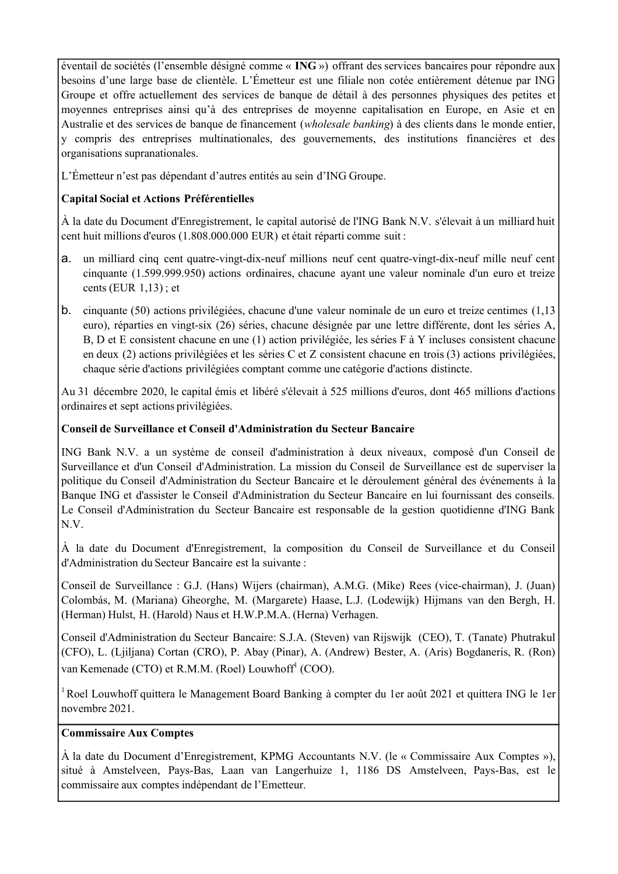éventail de sociétés (l'ensemble désigné comme « **ING** ») offrant des services bancaires pour répondre aux besoins d'une large base de clientèle. L'Émetteur est une filiale non cotée entièrement détenue par ING Groupe et offre actuellement des services de banque de détail à des personnes physiques des petites et moyennes entreprises ainsi qu'à des entreprises de moyenne capitalisation en Europe, en Asie et en Australie et des services de banque de financement (*wholesale banking*) à des clients dans le monde entier, y compris des entreprises multinationales, des gouvernements, des institutions financières et des organisations supranationales.

L'Émetteur n'est pas dépendant d'autres entités au sein d'ING Groupe.

# **Capital Social et Actions Préférentielles**

À la date du Document d'Enregistrement, le capital autorisé de l'ING Bank N.V. s'élevait à un milliard huit cent huit millions d'euros (1.808.000.000 EUR) et était réparti comme suit :

- a. un milliard cinq cent quatre-vingt-dix-neuf millions neuf cent quatre-vingt-dix-neuf mille neuf cent cinquante (1.599.999.950) actions ordinaires, chacune ayant une valeur nominale d'un euro et treize cents (EUR 1,13) ; et
- b. cinquante (50) actions privilégiées, chacune d'une valeur nominale de un euro et treize centimes (1,13 euro), réparties en vingt-six (26) séries, chacune désignée par une lettre différente, dont les séries A, B, D et E consistent chacune en une (1) action privilégiée, les séries F à Y incluses consistent chacune en deux (2) actions privilégiées et les séries C et Z consistent chacune en trois (3) actions privilégiées, chaque série d'actions privilégiées comptant comme une catégorie d'actions distincte.

Au 31 décembre 2020, le capital émis et libéré s'élevait à 525 millions d'euros, dont 465 millions d'actions ordinaires et sept actions privilégiées.

# **Conseil de Surveillance et Conseil d'Administration du Secteur Bancaire**

ING Bank N.V. a un système de conseil d'administration à deux niveaux, composé d'un Conseil de Surveillance et d'un Conseil d'Administration. La mission du Conseil de Surveillance est de superviser la politique du Conseil d'Administration du Secteur Bancaire et le déroulement général des événements à la Banque ING et d'assister le Conseil d'Administration du Secteur Bancaire en lui fournissant des conseils. Le Conseil d'Administration du Secteur Bancaire est responsable de la gestion quotidienne d'ING Bank N.V.

À la date du Document d'Enregistrement, la composition du Conseil de Surveillance et du Conseil d'Administration du Secteur Bancaire est la suivante :

Conseil de Surveillance : G.J. (Hans) Wijers (chairman), A.M.G. (Mike) Rees (vice-chairman), J. (Juan) Colombás, M. (Mariana) Gheorghe, M. (Margarete) Haase, L.J. (Lodewijk) Hijmans van den Bergh, H. (Herman) Hulst, H. (Harold) Naus et H.W.P.M.A. (Herna) Verhagen.

Conseil d'Administration du Secteur Bancaire: S.J.A. (Steven) van Rijswijk (CEO), T. (Tanate) Phutrakul (CFO), L. (Ljiljana) Cortan (CRO), P. Abay (Pinar), A. (Andrew) Bester, A. (Aris) Bogdaneris, R. (Ron) van Kemenade (CTO) et R.M.M. (Roel) Louwhoff<sup>1</sup> (COO).

<sup>1</sup> Roel Louwhoff quittera le Management Board Banking à compter du 1er août 2021 et quittera ING le 1er novembre 2021.

# **Commissaire Aux Comptes**

À la date du Document d'Enregistrement, KPMG Accountants N.V. (le « Commissaire Aux Comptes »), situé à Amstelveen, Pays-Bas, Laan van Langerhuize 1, 1186 DS Amstelveen, Pays-Bas, est le commissaire aux comptes indépendant de l'Emetteur.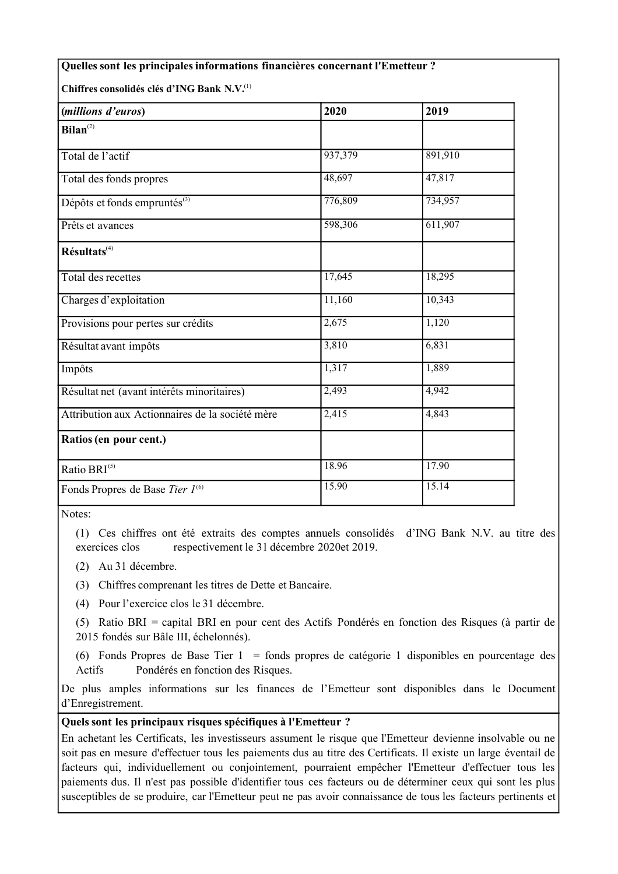| Quelles sont les principales informations financières concernant l'Emetteur ? |         |         |
|-------------------------------------------------------------------------------|---------|---------|
| Chiffres consolidés clés d'ING Bank N.V. <sup>(1)</sup>                       |         |         |
| (millions d'euros)                                                            | 2020    | 2019    |
| Bilan <sup>(2)</sup>                                                          |         |         |
| Total de l'actif                                                              | 937,379 | 891,910 |
| Total des fonds propres                                                       | 48,697  | 47,817  |
| Dépôts et fonds empruntés <sup>(3)</sup>                                      | 776,809 | 734,957 |
| Prêts et avances                                                              | 598,306 | 611,907 |
| $R$ ésultats <sup>(4)</sup>                                                   |         |         |
| Total des recettes                                                            | 17,645  | 18,295  |
| Charges d'exploitation                                                        | 11,160  | 10,343  |
| Provisions pour pertes sur crédits                                            | 2,675   | 1,120   |
| Résultat avant impôts                                                         | 3,810   | 6,831   |
| Impôts                                                                        | 1,317   | 1,889   |
| Résultat net (avant intérêts minoritaires)                                    | 2,493   | 4,942   |
| Attribution aux Actionnaires de la société mère                               | 2,415   | 4,843   |
| Ratios (en pour cent.)                                                        |         |         |
| Ratio BRI <sup>(5)</sup>                                                      | 18.96   | 17.90   |
| Fonds Propres de Base Tier 1 <sup>(6)</sup>                                   | 15.90   | 15.14   |
|                                                                               |         |         |

Notes:

(1) Ces chiffres ont été extraits des comptes annuels consolidés d'ING Bank N.V. au titre des exercices clos respectivement le 31 décembre 2020et 2019.

(2) Au 31 décembre.

(3) Chiffres comprenant les titres de Dette et Bancaire.

(4) Pour l'exercice clos le 31 décembre.

(5) Ratio BRI = capital BRI en pour cent des Actifs Pondérés en fonction des Risques (à partir de 2015 fondés sur Bâle III, échelonnés).

(6) Fonds Propres de Base Tier 1 = fonds propres de catégorie 1 disponibles en pourcentage des Actifs Pondérés en fonction des Risques.

De plus amples informations sur les finances de l'Emetteur sont disponibles dans le Document d'Enregistrement.

# **Quelssont les principaux risques spécifiques à l'Emetteur ?**

En achetant les Certificats, les investisseurs assument le risque que l'Emetteur devienne insolvable ou ne soit pas en mesure d'effectuer tous les paiements dus au titre des Certificats. Il existe un large éventail de facteurs qui, individuellement ou conjointement, pourraient empêcher l'Emetteur d'effectuer tous les paiements dus. Il n'est pas possible d'identifier tous ces facteurs ou de déterminer ceux qui sont les plus susceptibles de se produire, car l'Emetteur peut ne pas avoir connaissance de tous les facteurs pertinents et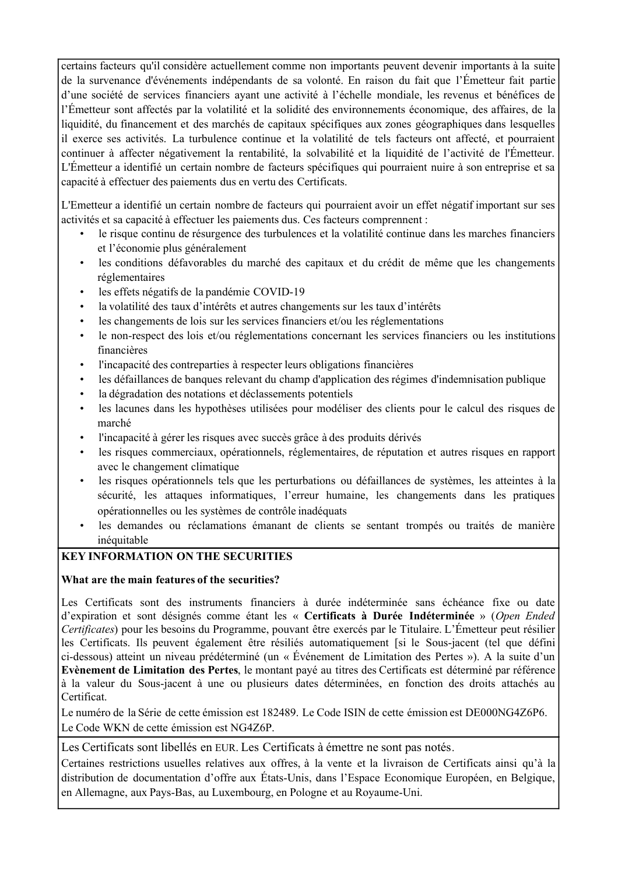certains facteurs qu'il considère actuellement comme non importants peuvent devenir importants à la suite de la survenance d'événements indépendants de sa volonté. En raison du fait que l'Émetteur fait partie d'une société de services financiers ayant une activité à l'échelle mondiale, les revenus et bénéfices de l'Émetteur sont affectés par la volatilité et la solidité des environnements économique, des affaires, de la liquidité, du financement et des marchés de capitaux spécifiques aux zones géographiques dans lesquelles il exerce ses activités. La turbulence continue et la volatilité de tels facteurs ont affecté, et pourraient continuer à affecter négativement la rentabilité, la solvabilité et la liquidité de l'activité de l'Émetteur. L'Émetteur a identifié un certain nombre de facteurs spécifiques qui pourraient nuire à son entreprise et sa capacité à effectuer des paiements dus en vertu des Certificats.

L'Emetteur a identifié un certain nombre de facteurs qui pourraient avoir un effet négatif important sur ses activités et sa capacité à effectuer les paiements dus. Ces facteurs comprennent :

- le risque continu de résurgence des turbulences et la volatilité continue dans les marches financiers et l'économie plus généralement
- les conditions défavorables du marché des capitaux et du crédit de même que les changements réglementaires
- les effets négatifs de la pandémie COVID-19
- la volatilité des taux d'intérêts et autres changements sur les taux d'intérêts
- les changements de lois sur les services financiers et/ou les réglementations
- le non-respect des lois et/ou réglementations concernant les services financiers ou les institutions financières
- l'incapacité des contreparties à respecter leurs obligations financières
- les défaillances de banques relevant du champ d'application des régimes d'indemnisation publique
- la dégradation des notations et déclassements potentiels
- les lacunes dans les hypothèses utilisées pour modéliser des clients pour le calcul des risques de marché
- l'incapacité à gérer les risques avec succès grâce à des produits dérivés
- les risques commerciaux, opérationnels, réglementaires, de réputation et autres risques en rapport avec le changement climatique
- les risques opérationnels tels que les perturbations ou défaillances de systèmes, les atteintes à la sécurité, les attaques informatiques, l'erreur humaine, les changements dans les pratiques opérationnelles ou les systèmes de contrôle inadéquats
- les demandes ou réclamations émanant de clients se sentant trompés ou traités de manière inéquitable

# **KEY INFORMATION ON THE SECURITIES**

# **What are the main features of the securities?**

Les Certificats sont des instruments financiers à durée indéterminée sans échéance fixe ou date d'expiration et sont désignés comme étant les « **Certificats à Durée Indéterminée** » (*Open Ended Certificates*) pour les besoins du Programme, pouvant être exercés par le Titulaire. L'Émetteur peut résilier les Certificats. Ils peuvent également être résiliés automatiquement [si le Sous-jacent (tel que défini ci-dessous) atteint un niveau prédéterminé (un « Événement de Limitation des Pertes »). A la suite d'un **Evènement de Limitation des Pertes**, le montant payé au titres des Certificats est déterminé par référence à la valeur du Sous-jacent à une ou plusieurs dates déterminées, en fonction des droits attachés au **Certificat** 

Le numéro de la Série de cette émission est 182489. Le Code ISIN de cette émission est DE000NG4Z6P6. Le Code WKN de cette émission est NG4Z6P.

Les Certificats sont libellés en EUR. Les Certificats à émettre ne sont pas notés.

Certaines restrictions usuelles relatives aux offres, à la vente et la livraison de Certificats ainsi qu'à la distribution de documentation d'offre aux États-Unis, dans l'Espace Economique Européen, en Belgique, en Allemagne, aux Pays-Bas, au Luxembourg, en Pologne et au Royaume-Uni.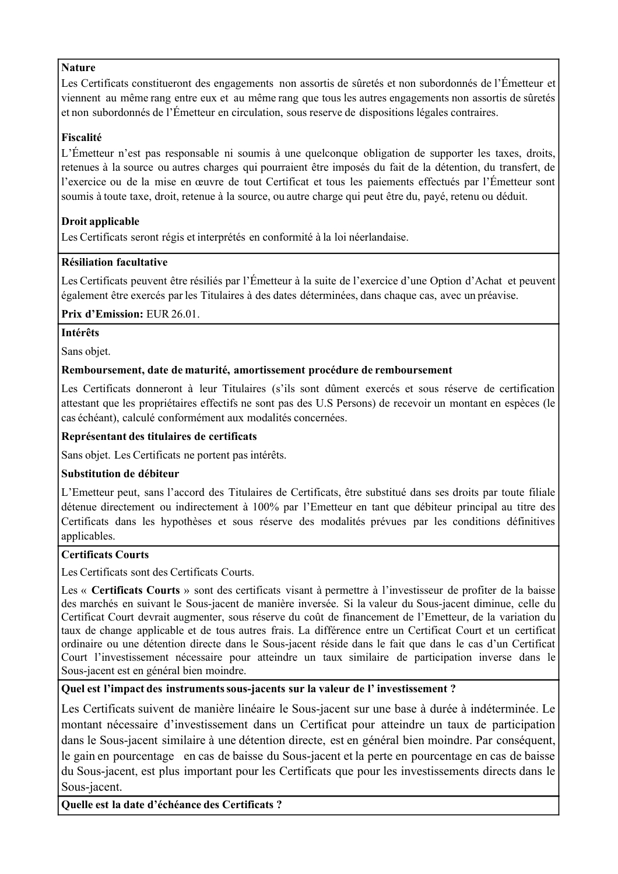# **Nature**

Les Certificats constitueront des engagements non assortis de sûretés et non subordonnés de l'Émetteur et viennent au même rang entre eux et au même rang que tous les autres engagements non assortis de sûretés et non subordonnés de l'Émetteur en circulation, sous reserve de dispositions légales contraires.

# **Fiscalité**

L'Émetteur n'est pas responsable ni soumis à une quelconque obligation de supporter les taxes, droits, retenues à la source ou autres charges qui pourraient être imposés du fait de la détention, du transfert, de l'exercice ou de la mise en œuvre de tout Certificat et tous les paiements effectués par l'Émetteur sont soumis à toute taxe, droit, retenue à la source, ou autre charge qui peut être du, payé, retenu ou déduit.

# **Droit applicable**

Les Certificats seront régis et interprétés en conformité à la loi néerlandaise.

# **Résiliation facultative**

Les Certificats peuvent être résiliés par l'Émetteur à la suite de l'exercice d'une Option d'Achat et peuvent également être exercés par les Titulaires à des dates déterminées, dans chaque cas, avec un préavise.

# **Prix d'Emission:** EUR 26.01.

# **Intérêts**

Sans objet.

# **Remboursement, date de maturité, amortissement procédure de remboursement**

Les Certificats donneront à leur Titulaires (s'ils sont dûment exercés et sous réserve de certification attestant que les propriétaires effectifs ne sont pas des U.S Persons) de recevoir un montant en espèces (le cas échéant), calculé conformément aux modalités concernées.

# **Représentant des titulaires de certificats**

Sans objet. Les Certificats ne portent pas intérêts.

# **Substitution de débiteur**

L'Emetteur peut, sans l'accord des Titulaires de Certificats, être substitué dans ses droits par toute filiale détenue directement ou indirectement à 100% par l'Emetteur en tant que débiteur principal au titre des Certificats dans les hypothèses et sous réserve des modalités prévues par les conditions définitives applicables.

# **Certificats Courts**

Les Certificats sont des Certificats Courts.

Les « **Certificats Courts** » sont des certificats visant à permettre à l'investisseur de profiter de la baisse des marchés en suivant le Sous-jacent de manière inversée. Si la valeur du Sous-jacent diminue, celle du Certificat Court devrait augmenter, sous réserve du coût de financement de l'Emetteur, de la variation du taux de change applicable et de tous autres frais. La différence entre un Certificat Court et un certificat ordinaire ou une détention directe dans le Sous-jacent réside dans le fait que dans le cas d'un Certificat Court l'investissement nécessaire pour atteindre un taux similaire de participation inverse dans le Sous-jacent est en général bien moindre.

# **Quel est l'impact des instrumentssous-jacents sur la valeur de l' investissement ?**

Les Certificats suivent de manière linéaire le Sous-jacent sur une base à durée à indéterminée. Le montant nécessaire d'investissement dans un Certificat pour atteindre un taux de participation dans le Sous-jacent similaire à une détention directe, est en général bien moindre. Par conséquent, le gain en pourcentage en cas de baisse du Sous-jacent et la perte en pourcentage en cas de baisse du Sous-jacent, est plus important pour les Certificats que pour les investissements directs dans le Sous-jacent.

**Quelle est la date d'échéance des Certificats ?**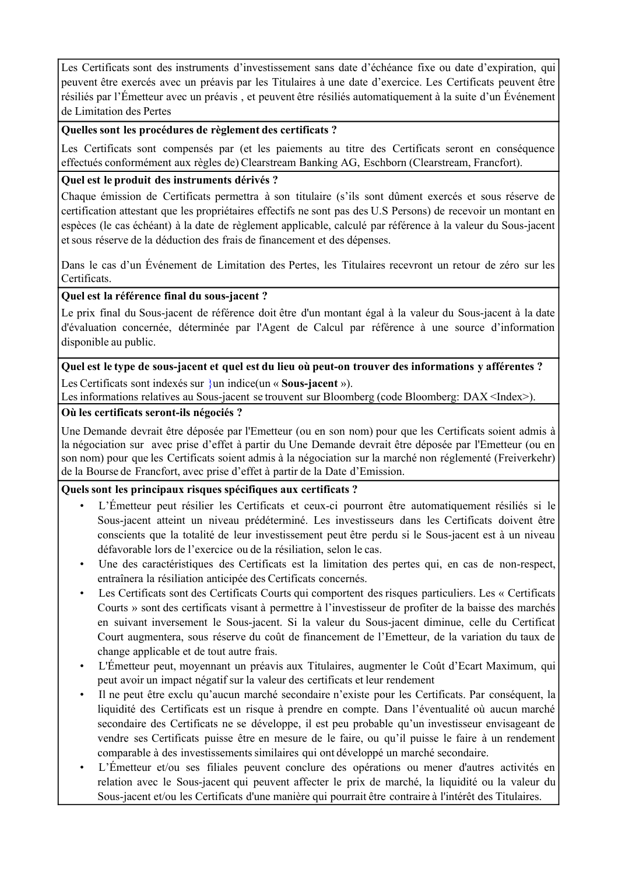Les Certificats sont des instruments d'investissement sans date d'échéance fixe ou date d'expiration, qui peuvent être exercés avec un préavis par les Titulaires à une date d'exercice. Les Certificats peuvent être résiliés par l'Émetteur avec un préavis , et peuvent être résiliés automatiquement à la suite d'un Événement de Limitation des Pertes

#### **Quelles sont les procédures de règlement des certificats ?**

Les Certificats sont compensés par (et les paiements au titre des Certificats seront en conséquence effectués conformément aux règles de) Clearstream Banking AG, Eschborn (Clearstream, Francfort).

# **Quel est le produit des instruments dérivés ?**

Chaque émission de Certificats permettra à son titulaire (s'ils sont dûment exercés et sous réserve de certification attestant que les propriétaires effectifs ne sont pas des U.S Persons) de recevoir un montant en espèces (le cas échéant) à la date de règlement applicable, calculé par référence à la valeur du Sous-jacent et sous réserve de la déduction des frais de financement et des dépenses.

Dans le cas d'un Événement de Limitation des Pertes, les Titulaires recevront un retour de zéro sur les Certificats.

#### **Quel est la référence final du sous-jacent ?**

Le prix final du Sous-jacent de référence doit être d'un montant égal à la valeur du Sous-jacent à la date d'évaluation concernée, déterminée par l'Agent de Calcul par référence à une source d'information disponible au public.

Quel est le type de sous-jacent et quel est du lieu où peut-on trouver des informations y afférentes ? Les Certificats sont indexés sur }un indice(un « **Sous-jacent** »).

Les informations relatives au Sous-jacent se trouvent sur Bloomberg (code Bloomberg: DAX <Index>).

#### **Où les certificats seront-ils négociés ?**

Une Demande devrait être déposée par l'Emetteur (ou en son nom) pour que les Certificats soient admis à la négociation sur avec prise d'effet à partir du Une Demande devrait être déposée par l'Emetteur (ou en son nom) pour que les Certificats soient admis à la négociation sur la marché non réglementé (Freiverkehr) de la Bourse de Francfort, avec prise d'effet à partir de la Date d'Emission.

# **Quelssont les principaux risques spécifiques aux certificats ?**

- L'Émetteur peut résilier les Certificats et ceux-ci pourront être automatiquement résiliés si le Sous-jacent atteint un niveau prédéterminé. Les investisseurs dans les Certificats doivent être conscients que la totalité de leur investissement peut être perdu si le Sous-jacent est à un niveau défavorable lors de l'exercice ou de la résiliation, selon le cas.
- Une des caractéristiques des Certificats est la limitation des pertes qui, en cas de non-respect, entraînera la résiliation anticipée des Certificats concernés.
- Les Certificats sont des Certificats Courts qui comportent des risques particuliers. Les « Certificats Courts » sont des certificats visant à permettre à l'investisseur de profiter de la baisse des marchés en suivant inversement le Sous-jacent. Si la valeur du Sous-jacent diminue, celle du Certificat Court augmentera, sous réserve du coût de financement de l'Emetteur, de la variation du taux de change applicable et de tout autre frais.
- L'Émetteur peut, moyennant un préavis aux Titulaires, augmenter le Coût d'Ecart Maximum, qui peut avoir un impact négatif sur la valeur des certificats et leur rendement
- Il ne peut être exclu qu'aucun marché secondaire n'existe pour les Certificats. Par conséquent, la liquidité des Certificats est un risque à prendre en compte. Dans l'éventualité où aucun marché secondaire des Certificats ne se développe, il est peu probable qu'un investisseur envisageant de vendre ses Certificats puisse être en mesure de le faire, ou qu'il puisse le faire à un rendement comparable à des investissementssimilaires qui ont développé un marché secondaire.
- L'Émetteur et/ou ses filiales peuvent conclure des opérations ou mener d'autres activités en relation avec le Sous-jacent qui peuvent affecter le prix de marché, la liquidité ou la valeur du Sous-jacent et/ou les Certificats d'une manière qui pourrait être contraire à l'intérêt des Titulaires.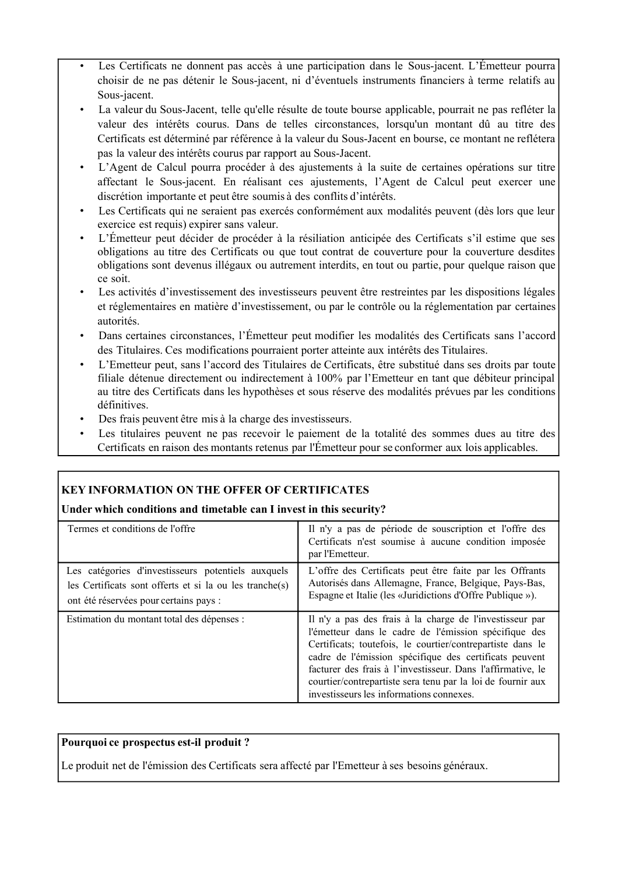- Les Certificats ne donnent pas accès à une participation dans le Sous-jacent. L'Émetteur pourra choisir de ne pas détenir le Sous-jacent, ni d'éventuels instruments financiers à terme relatifs au Sous-jacent.
- La valeur du Sous-Jacent, telle qu'elle résulte de toute bourse applicable, pourrait ne pas refléter la valeur des intérêts courus. Dans de telles circonstances, lorsqu'un montant dû au titre des Certificats est déterminé par référence à la valeur du Sous-Jacent en bourse, ce montant ne reflétera pas la valeur des intérêts courus par rapport au Sous-Jacent.
- L'Agent de Calcul pourra procéder à des ajustements à la suite de certaines opérations sur titre affectant le Sous-jacent. En réalisant ces ajustements, l'Agent de Calcul peut exercer une discrétion importante et peut être soumis à des conflits d'intérêts.
- Les Certificats qui ne seraient pas exercés conformément aux modalités peuvent (dès lors que leur exercice est requis) expirer sans valeur.
- L'Émetteur peut décider de procéder à la résiliation anticipée des Certificats s'il estime que ses obligations au titre des Certificats ou que tout contrat de couverture pour la couverture desdites obligations sont devenus illégaux ou autrement interdits, en tout ou partie, pour quelque raison que ce soit.
- Les activités d'investissement des investisseurs peuvent être restreintes par les dispositions légales et réglementaires en matière d'investissement, ou par le contrôle ou la réglementation par certaines autorités.
- Dans certaines circonstances, l'Émetteur peut modifier les modalités des Certificats sans l'accord des Titulaires. Ces modifications pourraient porter atteinte aux intérêts des Titulaires.
- L'Emetteur peut, sans l'accord des Titulaires de Certificats, être substitué dans ses droits par toute filiale détenue directement ou indirectement à 100% par l'Emetteur en tant que débiteur principal au titre des Certificats dans les hypothèses et sous réserve des modalités prévues par les conditions définitives.
- Des frais peuvent être mis à la charge des investisseurs.
- Les titulaires peuvent ne pas recevoir le paiement de la totalité des sommes dues au titre des Certificats en raison des montants retenus par l'Émetteur pour se conformer aux lois applicables.

# **KEY INFORMATION ON THE OFFER OF CERTIFICATES**

# **Under which conditions and timetable can I invest in this security?**

| Termes et conditions de l'offre                                                                                                                         | Il n'y a pas de période de souscription et l'offre des<br>Certificats n'est soumise à aucune condition imposée<br>par l'Emetteur.                                                                                                                                                                                                                                                                                   |
|---------------------------------------------------------------------------------------------------------------------------------------------------------|---------------------------------------------------------------------------------------------------------------------------------------------------------------------------------------------------------------------------------------------------------------------------------------------------------------------------------------------------------------------------------------------------------------------|
| Les catégories d'investisseurs potentiels auxquels<br>les Certificats sont offerts et si la ou les tranche(s)<br>ont été réservées pour certains pays : | L'offre des Certificats peut être faite par les Offrants<br>Autorisés dans Allemagne, France, Belgique, Pays-Bas,<br>Espagne et Italie (les «Juridictions d'Offre Publique »).                                                                                                                                                                                                                                      |
| Estimation du montant total des dépenses :                                                                                                              | Il n'y a pas des frais à la charge de l'investisseur par<br>l'émetteur dans le cadre de l'émission spécifique des<br>Certificats; toutefois, le courtier/contrepartiste dans le<br>cadre de l'émission spécifique des certificats peuvent<br>facturer des frais à l'investisseur. Dans l'affirmative, le<br>courtier/contrepartiste sera tenu par la loi de fournir aux<br>investisseurs les informations connexes. |

# **Pourquoi ce prospectus est-il produit ?**

Le produit net de l'émission des Certificats sera affecté par l'Emetteur à ses besoins généraux.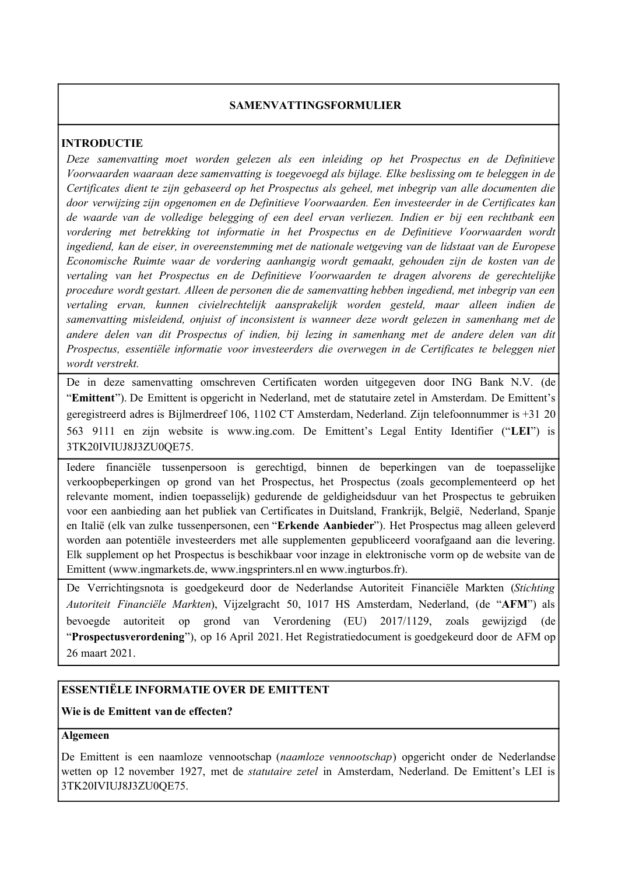# **SAMENVATTINGSFORMULIER**

# **INTRODUCTIE**

*Deze samenvatting moet worden gelezen als een inleiding op het Prospectus en de Definitieve Voorwaarden waaraan deze samenvatting is toegevoegd als bijlage. Elke beslissing om te beleggen in de Certificates dient te zijn gebaseerd op het Prospectus als geheel, met inbegrip van alle documenten die door verwijzing zijn opgenomen en de Definitieve Voorwaarden. Een investeerder in de Certificates kan de waarde van de volledige belegging of een deel ervan verliezen. Indien er bij een rechtbank een vordering met betrekking tot informatie in het Prospectus en de Definitieve Voorwaarden wordt ingediend, kan de eiser, in overeenstemming met de nationale wetgeving van de lidstaat van de Europese Economische Ruimte waar de vordering aanhangig wordt gemaakt, gehouden zijn de kosten van de vertaling van het Prospectus en de Definitieve Voorwaarden te dragen alvorens de gerechtelijke procedure wordt gestart. Alleen de personen die de samenvatting hebben ingediend, met inbegrip van een vertaling ervan, kunnen civielrechtelijk aansprakelijk worden gesteld, maar alleen indien de samenvatting misleidend, onjuist of inconsistent is wanneer deze wordt gelezen in samenhang met de andere delen van dit Prospectus of indien, bij lezing in samenhang met de andere delen van dit Prospectus, essentiële informatie voor investeerders die overwegen in de Certificates te beleggen niet wordt verstrekt.*

De in deze samenvatting omschreven Certificaten worden uitgegeven door ING Bank N.V. (de "**Emittent**"). De Emittent is opgericht in Nederland, met de statutaire zetel in Amsterdam. De Emittent's geregistreerd adres is Bijlmerdreef 106, 1102 CT Amsterdam, Nederland. Zijn telefoonnummer is +31 20 563 9111 en zijn website is www.ing.com. De Emittent's Legal Entity Identifier ("**LEI**") is 3TK20IVIUJ8J3ZU0QE75.

Iedere financiële tussenpersoon is gerechtigd, binnen de beperkingen van de toepasselijke verkoopbeperkingen op grond van het Prospectus, het Prospectus (zoals gecomplementeerd op het relevante moment, indien toepasselijk) gedurende de geldigheidsduur van het Prospectus te gebruiken voor een aanbieding aan het publiek van Certificates in Duitsland, Frankrijk, België, Nederland, Spanje en Italië (elk van zulke tussenpersonen, een "**Erkende Aanbieder**"). Het Prospectus mag alleen geleverd worden aan potentiële investeerders met alle supplementen gepubliceerd voorafgaand aan die levering. Elk supplement op het Prospectus is beschikbaar voor inzage in elektronische vorm op de website van de Emittent (www.ingmarkets.de, www.ingsprinters.nl en www.ingturbos.fr).

De Verrichtingsnota is goedgekeurd door de Nederlandse Autoriteit Financiële Markten (*Stichting Autoriteit Financiële Markten*), Vijzelgracht 50, 1017 HS Amsterdam, Nederland, (de "**AFM**") als bevoegde autoriteit op grond van Verordening (EU) 2017/1129, zoals gewijzigd (de "**Prospectusverordening**"), op 16 April 2021. Het Registratiedocument is goedgekeurd door de AFM op 26 maart 2021.

# **ESSENTIËLE INFORMATIE OVER DE EMITTENT**

# **Wie is de Emittent van de effecten?**

# **Algemeen**

De Emittent is een naamloze vennootschap (*naamloze vennootschap*) opgericht onder de Nederlandse wetten op 12 november 1927, met de *statutaire zetel* in Amsterdam, Nederland. De Emittent's LEI is 3TK20IVIUJ8J3ZU0QE75.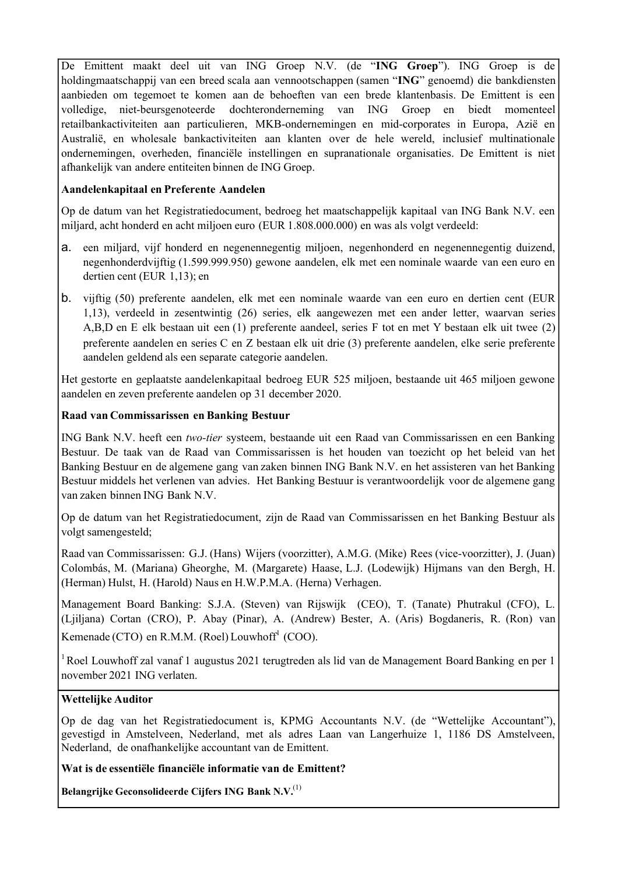De Emittent maakt deel uit van ING Groep N.V. (de "**ING Groep**"). ING Groep is de holdingmaatschappij van een breed scala aan vennootschappen (samen "**ING**" genoemd) die bankdiensten aanbieden om tegemoet te komen aan de behoeften van een brede klantenbasis. De Emittent is een volledige, niet-beursgenoteerde dochteronderneming van ING Groep en biedt momenteel retailbankactiviteiten aan particulieren, MKB-ondernemingen en mid-corporates in Europa, Azië en Australië, en wholesale bankactiviteiten aan klanten over de hele wereld, inclusief multinationale ondernemingen, overheden, financiële instellingen en supranationale organisaties. De Emittent is niet afhankelijk van andere entiteiten binnen de ING Groep.

# **Aandelenkapitaal en Preferente Aandelen**

Op de datum van het Registratiedocument, bedroeg het maatschappelijk kapitaal van ING Bank N.V. een miljard, acht honderd en acht miljoen euro (EUR 1.808.000.000) en was als volgt verdeeld:

- a. een miljard, vijf honderd en negenennegentig miljoen, negenhonderd en negenennegentig duizend, negenhonderdvijftig (1.599.999.950) gewone aandelen, elk met een nominale waarde van een euro en dertien cent (EUR 1,13); en
- b. vijftig (50) preferente aandelen, elk met een nominale waarde van een euro en dertien cent (EUR 1,13), verdeeld in zesentwintig (26) series, elk aangewezen met een ander letter, waarvan series A,B,D en E elk bestaan uit een (1) preferente aandeel, series F tot en met Y bestaan elk uit twee (2) preferente aandelen en series C en Z bestaan elk uit drie (3) preferente aandelen, elke serie preferente aandelen geldend als een separate categorie aandelen.

Het gestorte en geplaatste aandelenkapitaal bedroeg EUR 525 miljoen, bestaande uit 465 miljoen gewone aandelen en zeven preferente aandelen op 31 december 2020.

# **Raad van Commissarissen en Banking Bestuur**

ING Bank N.V. heeft een *two-tier* systeem, bestaande uit een Raad van Commissarissen en een Banking Bestuur. De taak van de Raad van Commissarissen is het houden van toezicht op het beleid van het Banking Bestuur en de algemene gang van zaken binnen ING Bank N.V. en het assisteren van het Banking Bestuur middels het verlenen van advies. Het Banking Bestuur is verantwoordelijk voor de algemene gang van zaken binnen ING Bank N.V.

Op de datum van het Registratiedocument, zijn de Raad van Commissarissen en het Banking Bestuur als volgt samengesteld;

Raad van Commissarissen: G.J. (Hans) Wijers (voorzitter), A.M.G. (Mike) Rees (vice-voorzitter), J. (Juan) Colombás, M. (Mariana) Gheorghe, M. (Margarete) Haase, L.J. (Lodewijk) Hijmans van den Bergh, H. (Herman) Hulst, H. (Harold) Naus en H.W.P.M.A. (Herna) Verhagen.

Management Board Banking: S.J.A. (Steven) van Rijswijk (CEO), T. (Tanate) Phutrakul (CFO), L. (Ljiljana) Cortan (CRO), P. Abay (Pinar), A. (Andrew) Bester, A. (Aris) Bogdaneris, R. (Ron) van Kemenade (CTO) en R.M.M. (Roel) Louwhoff<sup>1</sup> (COO).

<sup>1</sup> Roel Louwhoff zal vanaf 1 augustus 2021 terugtreden als lid van de Management Board Banking en per 1 november 2021 ING verlaten.

# **Wettelijke Auditor**

Op de dag van het Registratiedocument is, KPMG Accountants N.V. (de "Wettelijke Accountant"), gevestigd in Amstelveen, Nederland, met als adres Laan van Langerhuize 1, 1186 DS Amstelveen, Nederland, de onafhankelijke accountant van de Emittent.

# **Wat is de essentiële financiële informatie van de Emittent?**

**Belangrijke Geconsolideerde Cijfers ING Bank N.V.**(1)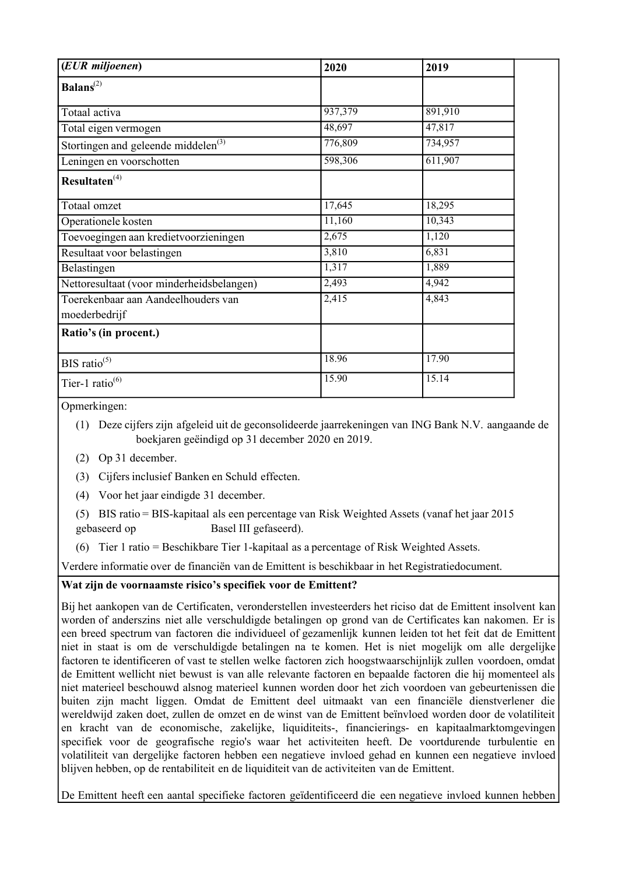| (EUR miljoenen)                                 | 2020    | 2019    |  |
|-------------------------------------------------|---------|---------|--|
| Balans <sup>(2)</sup>                           |         |         |  |
| Totaal activa                                   | 937,379 | 891,910 |  |
| Total eigen vermogen                            | 48,697  | 47,817  |  |
| Stortingen and geleende middelen <sup>(3)</sup> | 776,809 | 734,957 |  |
| Leningen en voorschotten                        | 598,306 | 611,907 |  |
| Resultaten <sup>(4)</sup>                       |         |         |  |
| Totaal omzet                                    | 17,645  | 18,295  |  |
| Operationele kosten                             | 11,160  | 10,343  |  |
| Toevoegingen aan kredietvoorzieningen           | 2,675   | 1,120   |  |
| Resultaat voor belastingen                      | 3,810   | 6,831   |  |
| Belastingen                                     | 1,317   | 1,889   |  |
| Nettoresultaat (voor minderheidsbelangen)       | 2,493   | 4,942   |  |
| Toerekenbaar aan Aandeelhouders van             | 2,415   | 4,843   |  |
| moederbedrijf                                   |         |         |  |
| Ratio's (in procent.)                           |         |         |  |
|                                                 |         |         |  |
| BIS ratio <sup>(5)</sup>                        | 18.96   | 17.90   |  |
| Tier-1 ratio $^{(6)}$                           | 15.90   | 15.14   |  |

Opmerkingen:

(1) Deze cijfers zijn afgeleid uit de geconsolideerde jaarrekeningen van ING Bank N.V. aangaande de boekjaren geëindigd op 31 december 2020 en 2019.

(2) Op 31 december.

(3) Cijfersinclusief Banken en Schuld effecten.

(4) Voor het jaar eindigde 31 december.

(5) BIS ratio = BIS-kapitaal als een percentage van Risk Weighted Assets (vanaf het jaar 2015 gebaseerd op Basel III gefaseerd).

(6) Tier 1 ratio = Beschikbare Tier 1-kapitaal as a percentage of Risk Weighted Assets.

Verdere informatie over de financiën van de Emittent is beschikbaar in het Registratiedocument.

# **Wat zijn de voornaamste risico's specifiek voor de Emittent?**

Bij het aankopen van de Certificaten, veronderstellen investeerders het riciso dat de Emittent insolvent kan worden of anderszins niet alle verschuldigde betalingen op grond van de Certificates kan nakomen. Er is een breed spectrum van factoren die individueel of gezamenlijk kunnen leiden tot het feit dat de Emittent niet in staat is om de verschuldigde betalingen na te komen. Het is niet mogelijk om alle dergelijke factoren te identificeren of vast te stellen welke factoren zich hoogstwaarschijnlijk zullen voordoen, omdat de Emittent wellicht niet bewust is van alle relevante factoren en bepaalde factoren die hij momenteel als niet materieel beschouwd alsnog materieel kunnen worden door het zich voordoen van gebeurtenissen die buiten zijn macht liggen. Omdat de Emittent deel uitmaakt van een financiële dienstverlener die wereldwijd zaken doet, zullen de omzet en de winst van de Emittent beïnvloed worden door de volatiliteit en kracht van de economische, zakelijke, liquiditeits-, financierings- en kapitaalmarktomgevingen specifiek voor de geografische regio's waar het activiteiten heeft. De voortdurende turbulentie en volatiliteit van dergelijke factoren hebben een negatieve invloed gehad en kunnen een negatieve invloed blijven hebben, op de rentabiliteit en de liquiditeit van de activiteiten van de Emittent.

De Emittent heeft een aantal specifieke factoren geïdentificeerd die een negatieve invloed kunnen hebben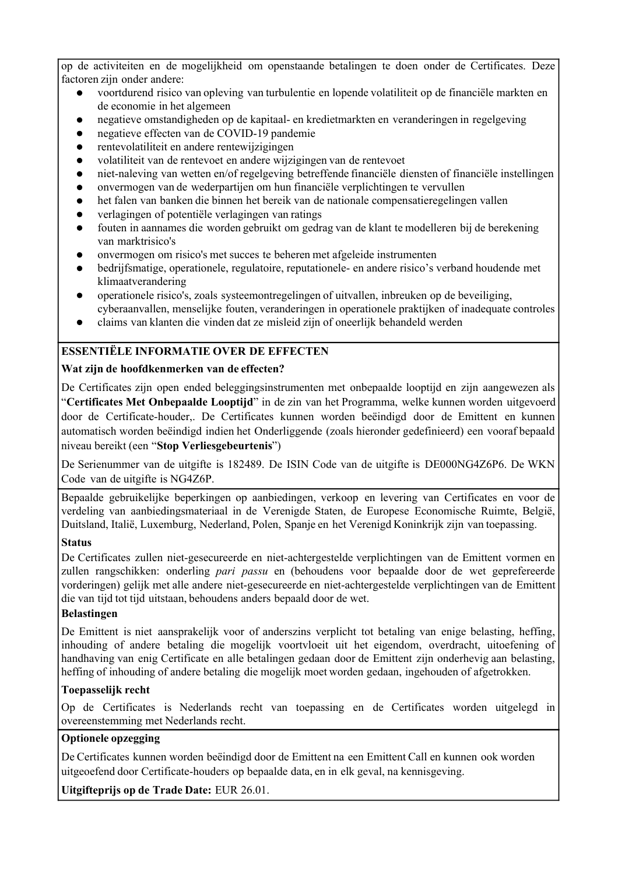op de activiteiten en de mogelijkheid om openstaande betalingen te doen onder de Certificates. Deze factoren zijn onder andere:

- voortdurend risico van opleving van turbulentie en lopende volatiliteit op de financiële markten en de economie in het algemeen
- negatieve omstandigheden op de kapitaal- en kredietmarkten en veranderingen in regelgeving
- negatieve effecten van de COVID-19 pandemie  $\bullet$
- rentevolatiliteit en andere rentewijzigingen  $\bullet$
- volatiliteit van de rentevoet en andere wijzigingen van de rentevoet
- niet-naleving van wetten en/of regelgeving betreffende financiële diensten of financiële instellingen  $\bullet$
- onvermogen van de wederpartijen om hun financiële verplichtingen te vervullen  $\bullet$
- het falen van banken die binnen het bereik van de nationale compensatieregelingen vallen
- verlagingen of potentiële verlagingen van ratings  $\bullet$
- fouten in aannames die worden gebruikt om gedrag van de klant te modelleren bij de berekening van marktrisico's
- onvermogen om risico's met succes te beheren met afgeleide instrumenten
- bedrijfsmatige, operationele, regulatoire, reputationele- en andere risico's verband houdende met klimaatverandering
- $\bullet$ operationele risico's, zoals systeemontregelingen of uitvallen, inbreuken op de beveiliging, cyberaanvallen, menselijke fouten, veranderingen in operationele praktijken of inadequate controles
- claims van klanten die vinden dat ze misleid zijn of oneerlijk behandeld werden

# **ESSENTIËLE INFORMATIE OVER DE EFFECTEN**

# **Wat zijn de hoofdkenmerken van de effecten?**

De Certificates zijn open ended beleggingsinstrumenten met onbepaalde looptijd en zijn aangewezen als "**Certificates Met Onbepaalde Looptijd**" in de zin van het Programma, welke kunnen worden uitgevoerd door de Certificate-houder,. De Certificates kunnen worden beëindigd door de Emittent en kunnen automatisch worden beëindigd indien het Onderliggende (zoals hieronder gedefinieerd) een vooraf bepaald niveau bereikt (een "**Stop Verliesgebeurtenis**")

De Serienummer van de uitgifte is 182489. De ISIN Code van de uitgifte is DE000NG4Z6P6. De WKN Code van de uitgifte is NG4Z6P.

Bepaalde gebruikelijke beperkingen op aanbiedingen, verkoop en levering van Certificates en voor de verdeling van aanbiedingsmateriaal in de Verenigde Staten, de Europese Economische Ruimte, België, Duitsland, Italië, Luxemburg, Nederland, Polen, Spanje en het Verenigd Koninkrijk zijn van toepassing.

# **Status**

De Certificates zullen niet-gesecureerde en niet-achtergestelde verplichtingen van de Emittent vormen en zullen rangschikken: onderling *pari passu* en (behoudens voor bepaalde door de wet geprefereerde vorderingen) gelijk met alle andere niet-gesecureerde en niet-achtergestelde verplichtingen van de Emittent die van tijd tot tijd uitstaan, behoudens anders bepaald door de wet.

# **Belastingen**

De Emittent is niet aansprakelijk voor of anderszins verplicht tot betaling van enige belasting, heffing, inhouding of andere betaling die mogelijk voortvloeit uit het eigendom, overdracht, uitoefening of handhaving van enig Certificate en alle betalingen gedaan door de Emittent zijn onderhevig aan belasting, heffing of inhouding of andere betaling die mogelijk moet worden gedaan, ingehouden of afgetrokken.

# **Toepasselijk recht**

Op de Certificates is Nederlands recht van toepassing en de Certificates worden uitgelegd in overeenstemming met Nederlands recht.

# **Optionele opzegging**

De Certificates kunnen worden beëindigd door de Emittent na een Emittent Call en kunnen ook worden uitgeoefend door Certificate-houders op bepaalde data, en in elk geval, na kennisgeving.

**Uitgifteprijs op de Trade Date:** EUR 26.01.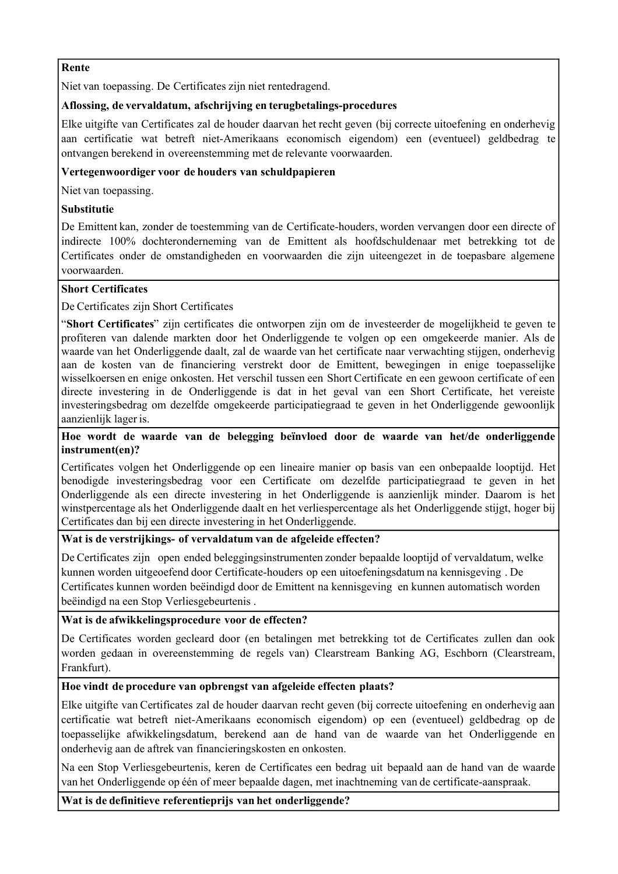#### **Rente**

Niet van toepassing. De Certificates zijn niet rentedragend.

# **Aflossing, de vervaldatum, afschrijving en terugbetalings-procedures**

Elke uitgifte van Certificates zal de houder daarvan het recht geven (bij correcte uitoefening en onderhevig aan certificatie wat betreft niet-Amerikaans economisch eigendom) een (eventueel) geldbedrag te ontvangen berekend in overeenstemming met de relevante voorwaarden.

# **Vertegenwoordiger voor de houders van schuldpapieren**

Niet van toepassing.

# **Substitutie**

De Emittent kan, zonder de toestemming van de Certificate-houders, worden vervangen door een directe of indirecte 100% dochteronderneming van de Emittent als hoofdschuldenaar met betrekking tot de Certificates onder de omstandigheden en voorwaarden die zijn uiteengezet in de toepasbare algemene voorwaarden.

# **Short Certificates**

De Certificates zijn Short Certificates

"**Short Certificates**" zijn certificates die ontworpen zijn om de investeerder de mogelijkheid te geven te profiteren van dalende markten door het Onderliggende te volgen op een omgekeerde manier. Als de waarde van het Onderliggende daalt, zal de waarde van het certificate naar verwachting stijgen, onderhevig aan de kosten van de financiering verstrekt door de Emittent, bewegingen in enige toepasselijke wisselkoersen en enige onkosten. Het verschil tussen een Short Certificate en een gewoon certificate of een directe investering in de Onderliggende is dat in het geval van een Short Certificate, het vereiste investeringsbedrag om dezelfde omgekeerde participatiegraad te geven in het Onderliggende gewoonlijk aanzienlijk lager is.

## **Hoe wordt de waarde van de belegging beïnvloed door de waarde van het/de onderliggende instrument(en)?**

Certificates volgen het Onderliggende op een lineaire manier op basis van een onbepaalde looptijd. Het benodigde investeringsbedrag voor een Certificate om dezelfde participatiegraad te geven in het Onderliggende als een directe investering in het Onderliggende is aanzienlijk minder. Daarom is het winstpercentage als het Onderliggende daalt en het verliespercentage als het Onderliggende stijgt, hoger bij Certificates dan bij een directe investering in het Onderliggende.

# **Wat is de verstrijkings- of vervaldatum van de afgeleide effecten?**

De Certificates zijn open ended beleggingsinstrumenten zonder bepaalde looptijd of vervaldatum, welke kunnen worden uitgeoefend door Certificate-houders op een uitoefeningsdatum na kennisgeving . De Certificates kunnen worden beëindigd door de Emittent na kennisgeving en kunnen automatisch worden beëindigd na een Stop Verliesgebeurtenis .

# **Wat is de afwikkelingsprocedure voor de effecten?**

De Certificates worden gecleard door (en betalingen met betrekking tot de Certificates zullen dan ook worden gedaan in overeenstemming de regels van) Clearstream Banking AG, Eschborn (Clearstream, Frankfurt).

# **Hoe vindt de procedure van opbrengst van afgeleide effecten plaats?**

Elke uitgifte van Certificates zal de houder daarvan recht geven (bij correcte uitoefening en onderhevig aan certificatie wat betreft niet-Amerikaans economisch eigendom) op een (eventueel) geldbedrag op de toepasselijke afwikkelingsdatum, berekend aan de hand van de waarde van het Onderliggende en onderhevig aan de aftrek van financieringskosten en onkosten.

Na een Stop Verliesgebeurtenis, keren de Certificates een bedrag uit bepaald aan de hand van de waarde van het Onderliggende op één of meer bepaalde dagen, met inachtneming van de certificate-aanspraak.

**Wat is de definitieve referentieprijs van het onderliggende?**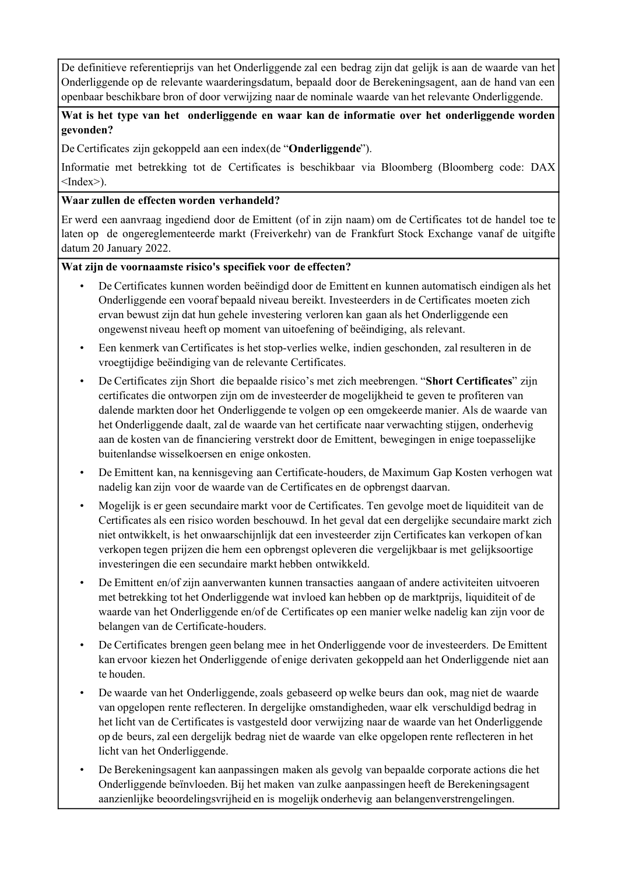De definitieve referentieprijs van het Onderliggende zal een bedrag zijn dat gelijk is aan de waarde van het Onderliggende op de relevante waarderingsdatum, bepaald door de Berekeningsagent, aan de hand van een openbaar beschikbare bron of door verwijzing naar de nominale waarde van het relevante Onderliggende.

# **Wat is het type van het onderliggende en waar kan de informatie over het onderliggende worden gevonden?**

De Certificates zijn gekoppeld aan een index(de "**Onderliggende**").

Informatie met betrekking tot de Certificates is beschikbaar via Bloomberg (Bloomberg code: DAX  $\langle$ Index $\rangle$ ).

# **Waar zullen de effecten worden verhandeld?**

Er werd een aanvraag ingediend door de Emittent (of in zijn naam) om de Certificates tot de handel toe te laten op de ongereglementeerde markt (Freiverkehr) van de Frankfurt Stock Exchange vanaf de uitgifte datum 20 January 2022.

# **Wat zijn de voornaamste risico's specifiek voor de effecten?**

- De Certificates kunnen worden beëindigd door de Emittent en kunnen automatisch eindigen als het Onderliggende een vooraf bepaald niveau bereikt. Investeerders in de Certificates moeten zich ervan bewust zijn dat hun gehele investering verloren kan gaan als het Onderliggende een ongewenst niveau heeft op moment van uitoefening of beëindiging, als relevant.
- Een kenmerk van Certificates is het stop-verlies welke, indien geschonden, zal resulteren in de vroegtijdige beëindiging van de relevante Certificates.
- De Certificates zijn Short die bepaalde risico's met zich meebrengen. "**Short Certificates**" zijn certificates die ontworpen zijn om de investeerder de mogelijkheid te geven te profiteren van dalende markten door het Onderliggende te volgen op een omgekeerde manier. Als de waarde van het Onderliggende daalt, zal de waarde van het certificate naar verwachting stijgen, onderhevig aan de kosten van de financiering verstrekt door de Emittent, bewegingen in enige toepasselijke buitenlandse wisselkoersen en enige onkosten.
- De Emittent kan, na kennisgeving aan Certificate-houders, de Maximum Gap Kosten verhogen wat nadelig kan zijn voor de waarde van de Certificates en de opbrengst daarvan.
- Mogelijk is er geen secundaire markt voor de Certificates. Ten gevolge moet de liquiditeit van de Certificates als een risico worden beschouwd. In het geval dat een dergelijke secundaire markt zich niet ontwikkelt, is het onwaarschijnlijk dat een investeerder zijn Certificates kan verkopen of kan verkopen tegen prijzen die hem een opbrengst opleveren die vergelijkbaar is met gelijksoortige investeringen die een secundaire markt hebben ontwikkeld.
- De Emittent en/of zijn aanverwanten kunnen transacties aangaan of andere activiteiten uitvoeren met betrekking tot het Onderliggende wat invloed kan hebben op de marktprijs, liquiditeit of de waarde van het Onderliggende en/of de Certificates op een manier welke nadelig kan zijn voor de belangen van de Certificate-houders.
- De Certificates brengen geen belang mee in het Onderliggende voor de investeerders. De Emittent kan ervoor kiezen het Onderliggende of enige derivaten gekoppeld aan het Onderliggende niet aan te houden.
- De waarde van het Onderliggende, zoals gebaseerd op welke beurs dan ook, mag niet de waarde van opgelopen rente reflecteren. In dergelijke omstandigheden, waar elk verschuldigd bedrag in het licht van de Certificates is vastgesteld door verwijzing naar de waarde van het Onderliggende op de beurs, zal een dergelijk bedrag niet de waarde van elke opgelopen rente reflecteren in het licht van het Onderliggende.
- De Berekeningsagent kan aanpassingen maken als gevolg van bepaalde corporate actions die het Onderliggende beïnvloeden. Bij het maken van zulke aanpassingen heeft de Berekeningsagent aanzienlijke beoordelingsvrijheid en is mogelijk onderhevig aan belangenverstrengelingen.